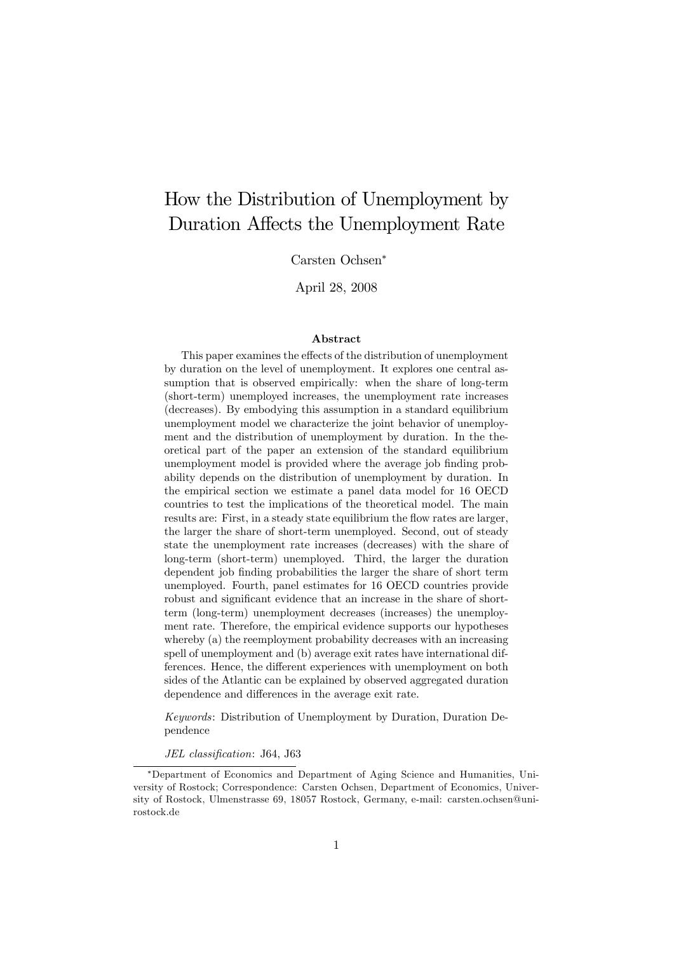# How the Distribution of Unemployment by Duration Affects the Unemployment Rate

Carsten Ochsen

April 28, 2008

#### Abstract

This paper examines the effects of the distribution of unemployment by duration on the level of unemployment. It explores one central assumption that is observed empirically: when the share of long-term (short-term) unemployed increases, the unemployment rate increases (decreases). By embodying this assumption in a standard equilibrium unemployment model we characterize the joint behavior of unemployment and the distribution of unemployment by duration. In the theoretical part of the paper an extension of the standard equilibrium unemployment model is provided where the average job finding probability depends on the distribution of unemployment by duration. In the empirical section we estimate a panel data model for 16 OECD countries to test the implications of the theoretical model. The main results are: First, in a steady state equilibrium the flow rates are larger, the larger the share of short-term unemployed. Second, out of steady state the unemployment rate increases (decreases) with the share of long-term (short-term) unemployed. Third, the larger the duration dependent job finding probabilities the larger the share of short term unemployed. Fourth, panel estimates for 16 OECD countries provide robust and significant evidence that an increase in the share of shortterm (long-term) unemployment decreases (increases) the unemployment rate. Therefore, the empirical evidence supports our hypotheses whereby (a) the reemployment probability decreases with an increasing spell of unemployment and (b) average exit rates have international differences. Hence, the different experiences with unemployment on both sides of the Atlantic can be explained by observed aggregated duration dependence and differences in the average exit rate.

Keywords: Distribution of Unemployment by Duration, Duration Dependence

JEL classification: J64, J63

Department of Economics and Department of Aging Science and Humanities, University of Rostock; Correspondence: Carsten Ochsen, Department of Economics, University of Rostock, Ulmenstrasse 69, 18057 Rostock, Germany, e-mail: carsten.ochsen@unirostock.de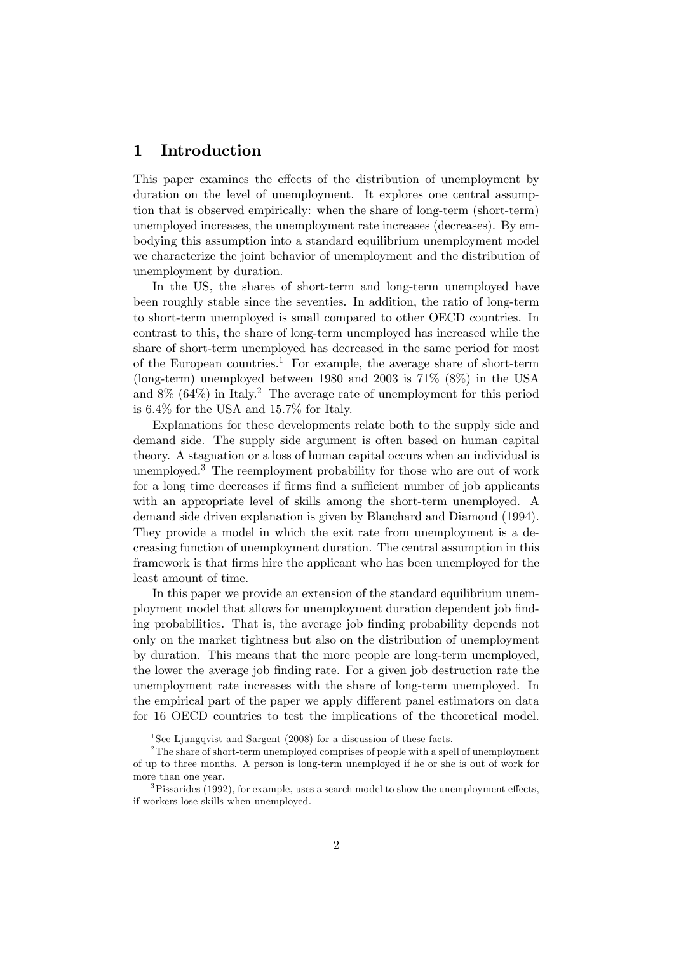### 1 Introduction

This paper examines the effects of the distribution of unemployment by duration on the level of unemployment. It explores one central assumption that is observed empirically: when the share of long-term (short-term) unemployed increases, the unemployment rate increases (decreases). By embodying this assumption into a standard equilibrium unemployment model we characterize the joint behavior of unemployment and the distribution of unemployment by duration.

In the US, the shares of short-term and long-term unemployed have been roughly stable since the seventies. In addition, the ratio of long-term to short-term unemployed is small compared to other OECD countries. In contrast to this, the share of long-term unemployed has increased while the share of short-term unemployed has decreased in the same period for most of the European countries.<sup>1</sup> For example, the average share of short-term (long-term) unemployed between 1980 and 2003 is  $71\%$  (8%) in the USA and  $8\%$  (64%) in Italy.<sup>2</sup> The average rate of unemployment for this period is 6.4% for the USA and 15.7% for Italy.

Explanations for these developments relate both to the supply side and demand side. The supply side argument is often based on human capital theory. A stagnation or a loss of human capital occurs when an individual is unemployed.<sup>3</sup> The reemployment probability for those who are out of work for a long time decreases if firms find a sufficient number of job applicants with an appropriate level of skills among the short-term unemployed. A demand side driven explanation is given by Blanchard and Diamond (1994). They provide a model in which the exit rate from unemployment is a decreasing function of unemployment duration. The central assumption in this framework is that firms hire the applicant who has been unemployed for the least amount of time.

In this paper we provide an extension of the standard equilibrium unemployment model that allows for unemployment duration dependent job Önding probabilities. That is, the average job finding probability depends not only on the market tightness but also on the distribution of unemployment by duration. This means that the more people are long-term unemployed, the lower the average job finding rate. For a given job destruction rate the unemployment rate increases with the share of long-term unemployed. In the empirical part of the paper we apply different panel estimators on data for 16 OECD countries to test the implications of the theoretical model.

<sup>&</sup>lt;sup>1</sup>See Ljungqvist and Sargent (2008) for a discussion of these facts.

<sup>&</sup>lt;sup>2</sup>The share of short-term unemployed comprises of people with a spell of unemployment of up to three months. A person is long-term unemployed if he or she is out of work for more than one year.

 $3P$ issarides (1992), for example, uses a search model to show the unemployment effects, if workers lose skills when unemployed.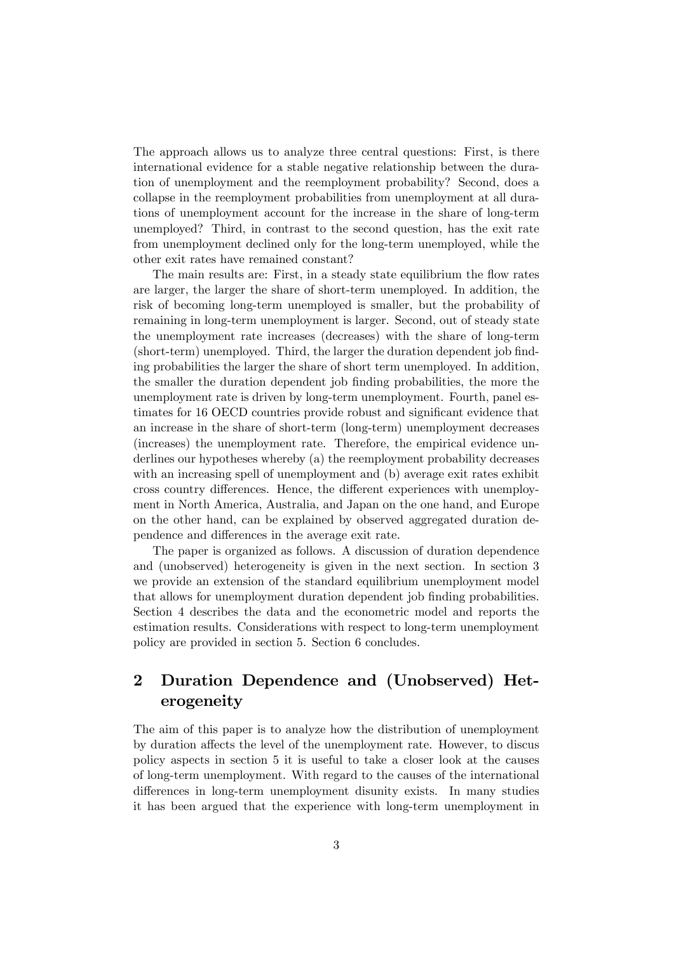The approach allows us to analyze three central questions: First, is there international evidence for a stable negative relationship between the duration of unemployment and the reemployment probability? Second, does a collapse in the reemployment probabilities from unemployment at all durations of unemployment account for the increase in the share of long-term unemployed? Third, in contrast to the second question, has the exit rate from unemployment declined only for the long-term unemployed, while the other exit rates have remained constant?

The main results are: First, in a steady state equilibrium the flow rates are larger, the larger the share of short-term unemployed. In addition, the risk of becoming long-term unemployed is smaller, but the probability of remaining in long-term unemployment is larger. Second, out of steady state the unemployment rate increases (decreases) with the share of long-term (short-term) unemployed. Third, the larger the duration dependent job finding probabilities the larger the share of short term unemployed. In addition, the smaller the duration dependent job finding probabilities, the more the unemployment rate is driven by long-term unemployment. Fourth, panel estimates for 16 OECD countries provide robust and significant evidence that an increase in the share of short-term (long-term) unemployment decreases (increases) the unemployment rate. Therefore, the empirical evidence underlines our hypotheses whereby (a) the reemployment probability decreases with an increasing spell of unemployment and (b) average exit rates exhibit cross country differences. Hence, the different experiences with unemployment in North America, Australia, and Japan on the one hand, and Europe on the other hand, can be explained by observed aggregated duration dependence and differences in the average exit rate.

The paper is organized as follows. A discussion of duration dependence and (unobserved) heterogeneity is given in the next section. In section 3 we provide an extension of the standard equilibrium unemployment model that allows for unemployment duration dependent job Önding probabilities. Section 4 describes the data and the econometric model and reports the estimation results. Considerations with respect to long-term unemployment policy are provided in section 5. Section 6 concludes.

## 2 Duration Dependence and (Unobserved) Heterogeneity

The aim of this paper is to analyze how the distribution of unemployment by duration affects the level of the unemployment rate. However, to discus policy aspects in section 5 it is useful to take a closer look at the causes of long-term unemployment. With regard to the causes of the international differences in long-term unemployment disunity exists. In many studies it has been argued that the experience with long-term unemployment in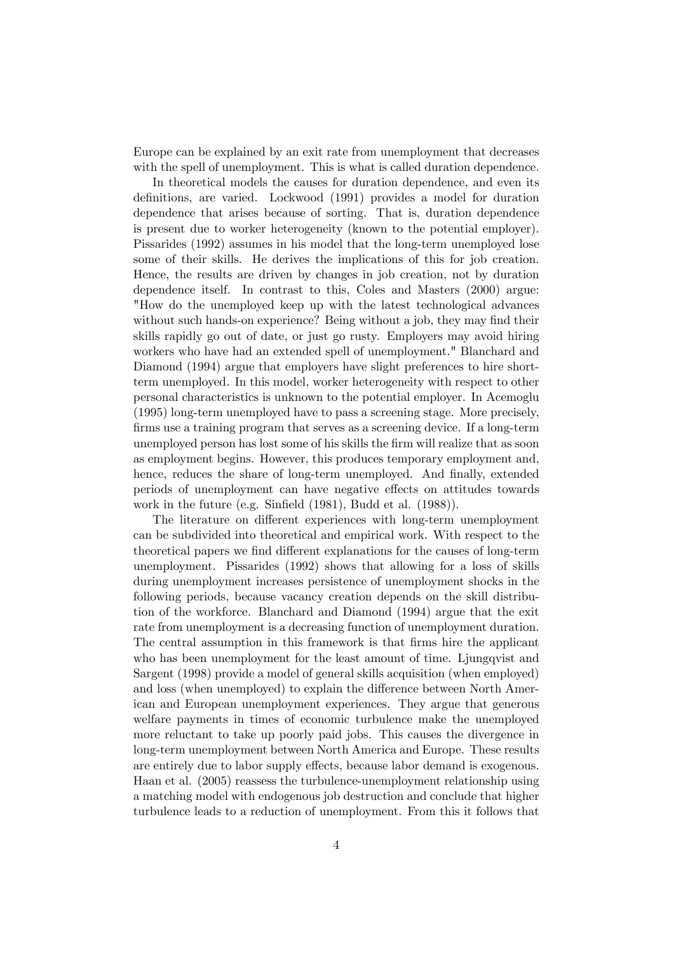Europe can be explained by an exit rate from unemployment that decreases with the spell of unemployment. This is what is called duration dependence.

In theoretical models the causes for duration dependence, and even its definitions, are varied. Lockwood (1991) provides a model for duration dependence that arises because of sorting. That is, duration dependence is present due to worker heterogeneity (known to the potential employer). Pissarides (1992) assumes in his model that the long-term unemployed lose some of their skills. He derives the implications of this for job creation. Hence, the results are driven by changes in job creation, not by duration dependence itself. In contrast to this, Coles and Masters (2000) argue: "How do the unemployed keep up with the latest technological advances without such hands-on experience? Being without a job, they may find their skills rapidly go out of date, or just go rusty. Employers may avoid hiring workers who have had an extended spell of unemployment." Blanchard and Diamond (1994) argue that employers have slight preferences to hire shortterm unemployed. In this model, worker heterogeneity with respect to other personal characteristics is unknown to the potential employer. In Acemoglu (1995) long-term unemployed have to pass a screening stage. More precisely, firms use a training program that serves as a screening device. If a long-term unemployed person has lost some of his skills the Örm will realize that as soon as employment begins. However, this produces temporary employment and, hence, reduces the share of long-term unemployed. And finally, extended periods of unemployment can have negative effects on attitudes towards work in the future (e.g. Sinfield  $(1981)$ , Budd et al.  $(1988)$ ).

The literature on different experiences with long-term unemployment can be subdivided into theoretical and empirical work. With respect to the theoretical papers we find different explanations for the causes of long-term unemployment. Pissarides (1992) shows that allowing for a loss of skills during unemployment increases persistence of unemployment shocks in the following periods, because vacancy creation depends on the skill distribution of the workforce. Blanchard and Diamond (1994) argue that the exit rate from unemployment is a decreasing function of unemployment duration. The central assumption in this framework is that firms hire the applicant who has been unemployment for the least amount of time. Ljungqvist and Sargent (1998) provide a model of general skills acquisition (when employed) and loss (when unemployed) to explain the difference between North American and European unemployment experiences. They argue that generous welfare payments in times of economic turbulence make the unemployed more reluctant to take up poorly paid jobs. This causes the divergence in long-term unemployment between North America and Europe. These results are entirely due to labor supply effects, because labor demand is exogenous. Haan et al. (2005) reassess the turbulence-unemployment relationship using a matching model with endogenous job destruction and conclude that higher turbulence leads to a reduction of unemployment. From this it follows that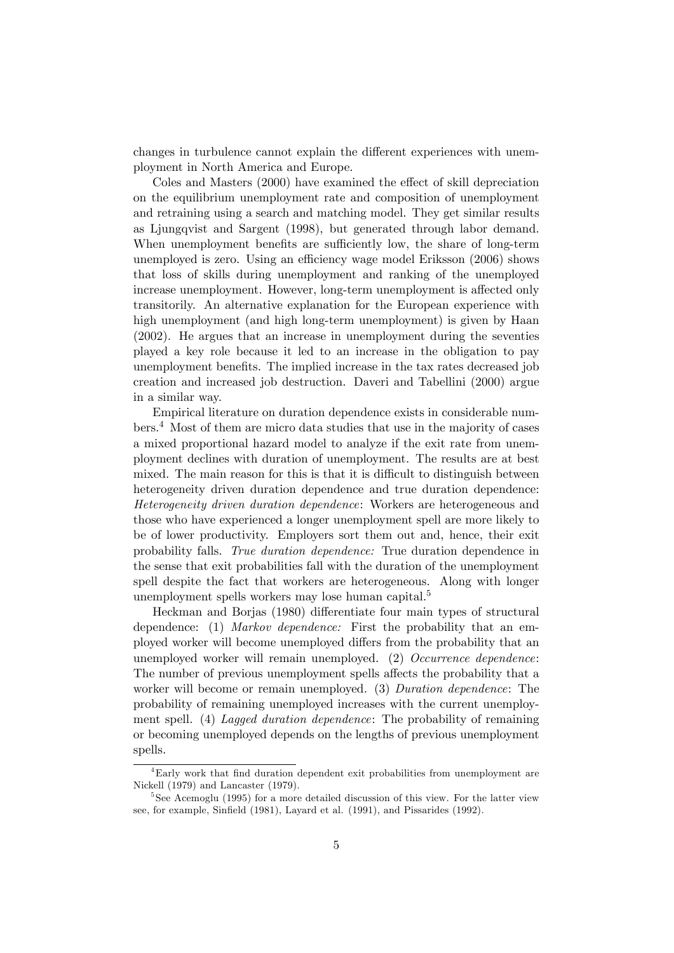changes in turbulence cannot explain the different experiences with unemployment in North America and Europe.

Coles and Masters (2000) have examined the effect of skill depreciation on the equilibrium unemployment rate and composition of unemployment and retraining using a search and matching model. They get similar results as Ljungqvist and Sargent (1998), but generated through labor demand. When unemployment benefits are sufficiently low, the share of long-term unemployed is zero. Using an efficiency wage model Eriksson (2006) shows that loss of skills during unemployment and ranking of the unemployed increase unemployment. However, long-term unemployment is affected only transitorily. An alternative explanation for the European experience with high unemployment (and high long-term unemployment) is given by Haan (2002). He argues that an increase in unemployment during the seventies played a key role because it led to an increase in the obligation to pay unemployment benefits. The implied increase in the tax rates decreased job creation and increased job destruction. Daveri and Tabellini (2000) argue in a similar way.

Empirical literature on duration dependence exists in considerable numbers.<sup>4</sup> Most of them are micro data studies that use in the majority of cases a mixed proportional hazard model to analyze if the exit rate from unemployment declines with duration of unemployment. The results are at best mixed. The main reason for this is that it is difficult to distinguish between heterogeneity driven duration dependence and true duration dependence: Heterogeneity driven duration dependence: Workers are heterogeneous and those who have experienced a longer unemployment spell are more likely to be of lower productivity. Employers sort them out and, hence, their exit probability falls. True duration dependence: True duration dependence in the sense that exit probabilities fall with the duration of the unemployment spell despite the fact that workers are heterogeneous. Along with longer unemployment spells workers may lose human capital.<sup>5</sup>

Heckman and Borjas (1980) differentiate four main types of structural dependence: (1) Markov dependence: First the probability that an employed worker will become unemployed differs from the probability that an unemployed worker will remain unemployed. (2) Occurrence dependence: The number of previous unemployment spells affects the probability that a worker will become or remain unemployed. (3) Duration dependence: The probability of remaining unemployed increases with the current unemployment spell. (4) Lagged duration dependence: The probability of remaining or becoming unemployed depends on the lengths of previous unemployment spells.

<sup>&</sup>lt;sup>4</sup>Early work that find duration dependent exit probabilities from unemployment are Nickell (1979) and Lancaster (1979).

<sup>&</sup>lt;sup>5</sup>See Acemoglu (1995) for a more detailed discussion of this view. For the latter view see, for example, Sinfield (1981), Layard et al. (1991), and Pissarides (1992).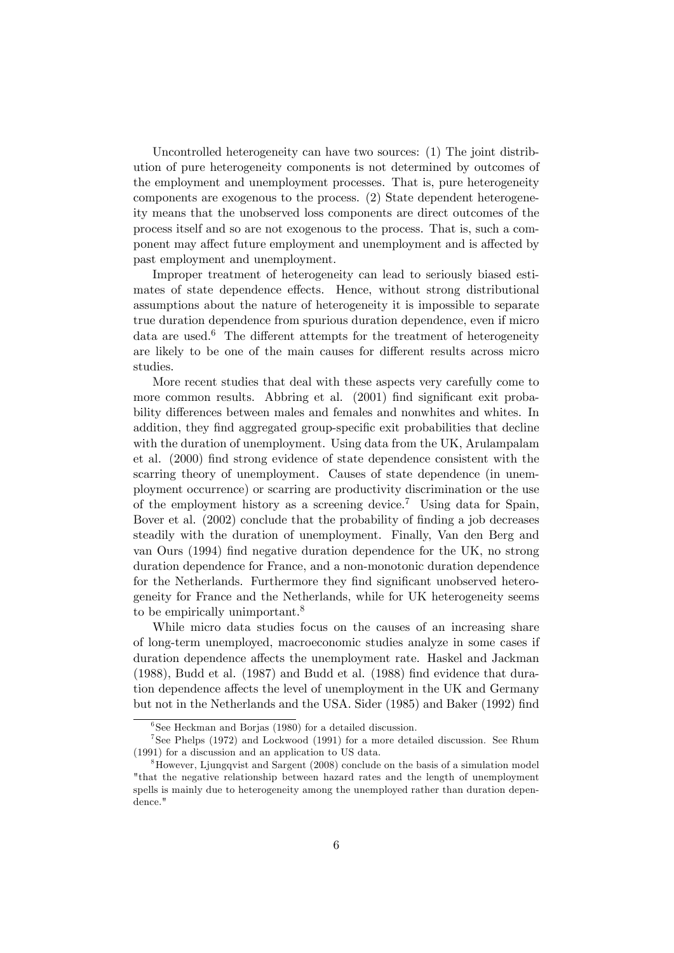Uncontrolled heterogeneity can have two sources: (1) The joint distribution of pure heterogeneity components is not determined by outcomes of the employment and unemployment processes. That is, pure heterogeneity components are exogenous to the process. (2) State dependent heterogeneity means that the unobserved loss components are direct outcomes of the process itself and so are not exogenous to the process. That is, such a component may affect future employment and unemployment and is affected by past employment and unemployment.

Improper treatment of heterogeneity can lead to seriously biased estimates of state dependence effects. Hence, without strong distributional assumptions about the nature of heterogeneity it is impossible to separate true duration dependence from spurious duration dependence, even if micro data are used. $6$  The different attempts for the treatment of heterogeneity are likely to be one of the main causes for different results across micro studies.

More recent studies that deal with these aspects very carefully come to more common results. Abbring et al. (2001) find significant exit probability differences between males and females and nonwhites and whites. In addition, they find aggregated group-specific exit probabilities that decline with the duration of unemployment. Using data from the UK, Arulampalam et al. (2000) find strong evidence of state dependence consistent with the scarring theory of unemployment. Causes of state dependence (in unemployment occurrence) or scarring are productivity discrimination or the use of the employment history as a screening device.<sup>7</sup> Using data for Spain, Bover et al. (2002) conclude that the probability of finding a job decreases steadily with the duration of unemployment. Finally, Van den Berg and van Ours (1994) find negative duration dependence for the UK, no strong duration dependence for France, and a non-monotonic duration dependence for the Netherlands. Furthermore they find significant unobserved heterogeneity for France and the Netherlands, while for UK heterogeneity seems to be empirically unimportant.<sup>8</sup>

While micro data studies focus on the causes of an increasing share of long-term unemployed, macroeconomic studies analyze in some cases if duration dependence affects the unemployment rate. Haskel and Jackman  $(1988)$ , Budd et al.  $(1987)$  and Budd et al.  $(1988)$  find evidence that duration dependence affects the level of unemployment in the UK and Germany but not in the Netherlands and the USA. Sider (1985) and Baker (1992) find

<sup>6</sup> See Heckman and Borjas (1980) for a detailed discussion.

<sup>7</sup> See Phelps (1972) and Lockwood (1991) for a more detailed discussion. See Rhum (1991) for a discussion and an application to US data.

<sup>8</sup>However, Ljungqvist and Sargent (2008) conclude on the basis of a simulation model "that the negative relationship between hazard rates and the length of unemployment spells is mainly due to heterogeneity among the unemployed rather than duration dependence."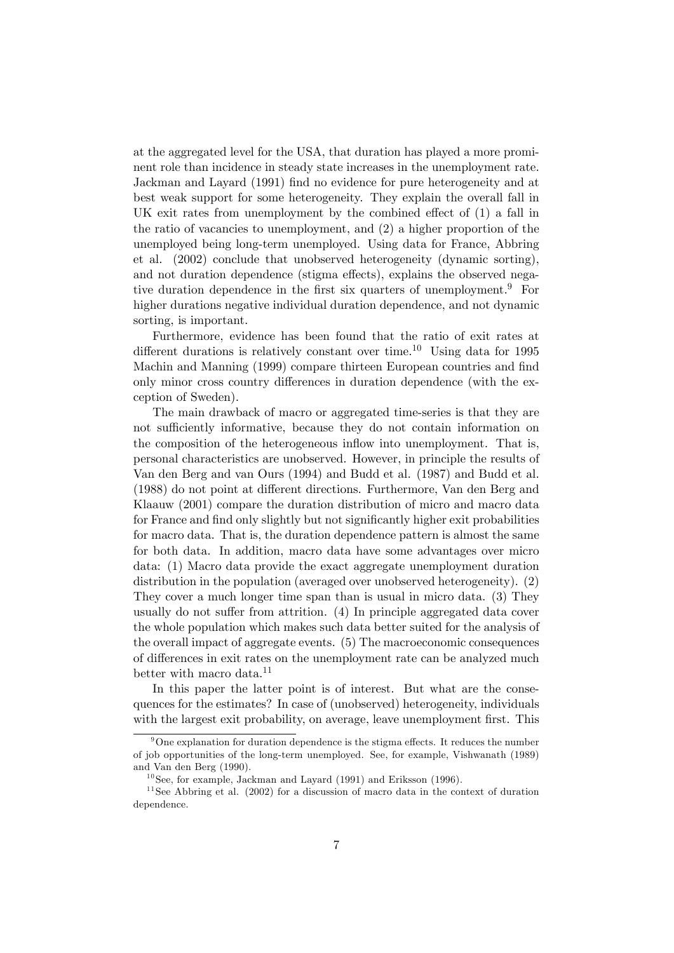at the aggregated level for the USA, that duration has played a more prominent role than incidence in steady state increases in the unemployment rate. Jackman and Layard (1991) Önd no evidence for pure heterogeneity and at best weak support for some heterogeneity. They explain the overall fall in UK exit rates from unemployment by the combined effect of  $(1)$  a fall in the ratio of vacancies to unemployment, and (2) a higher proportion of the unemployed being long-term unemployed. Using data for France, Abbring et al. (2002) conclude that unobserved heterogeneity (dynamic sorting), and not duration dependence (stigma effects), explains the observed negative duration dependence in the first six quarters of unemployment.<sup>9</sup> For higher durations negative individual duration dependence, and not dynamic sorting, is important.

Furthermore, evidence has been found that the ratio of exit rates at different durations is relatively constant over time.<sup>10</sup> Using data for 1995 Machin and Manning (1999) compare thirteen European countries and find only minor cross country differences in duration dependence (with the exception of Sweden).

The main drawback of macro or aggregated time-series is that they are not sufficiently informative, because they do not contain information on the composition of the heterogeneous inflow into unemployment. That is, personal characteristics are unobserved. However, in principle the results of Van den Berg and van Ours (1994) and Budd et al. (1987) and Budd et al. (1988) do not point at different directions. Furthermore, Van den Berg and Klaauw (2001) compare the duration distribution of micro and macro data for France and find only slightly but not significantly higher exit probabilities for macro data. That is, the duration dependence pattern is almost the same for both data. In addition, macro data have some advantages over micro data: (1) Macro data provide the exact aggregate unemployment duration distribution in the population (averaged over unobserved heterogeneity). (2) They cover a much longer time span than is usual in micro data. (3) They usually do not suffer from attrition.  $(4)$  In principle aggregated data cover the whole population which makes such data better suited for the analysis of the overall impact of aggregate events. (5) The macroeconomic consequences of differences in exit rates on the unemployment rate can be analyzed much better with macro data.<sup>11</sup>

In this paper the latter point is of interest. But what are the consequences for the estimates? In case of (unobserved) heterogeneity, individuals with the largest exit probability, on average, leave unemployment first. This

 $9^9$ One explanation for duration dependence is the stigma effects. It reduces the number of job opportunities of the long-term unemployed. See, for example, Vishwanath (1989) and Van den Berg (1990).

 $^{10}$  See, for example, Jackman and Layard (1991) and Eriksson (1996).

 $11$  See Abbring et al. (2002) for a discussion of macro data in the context of duration dependence.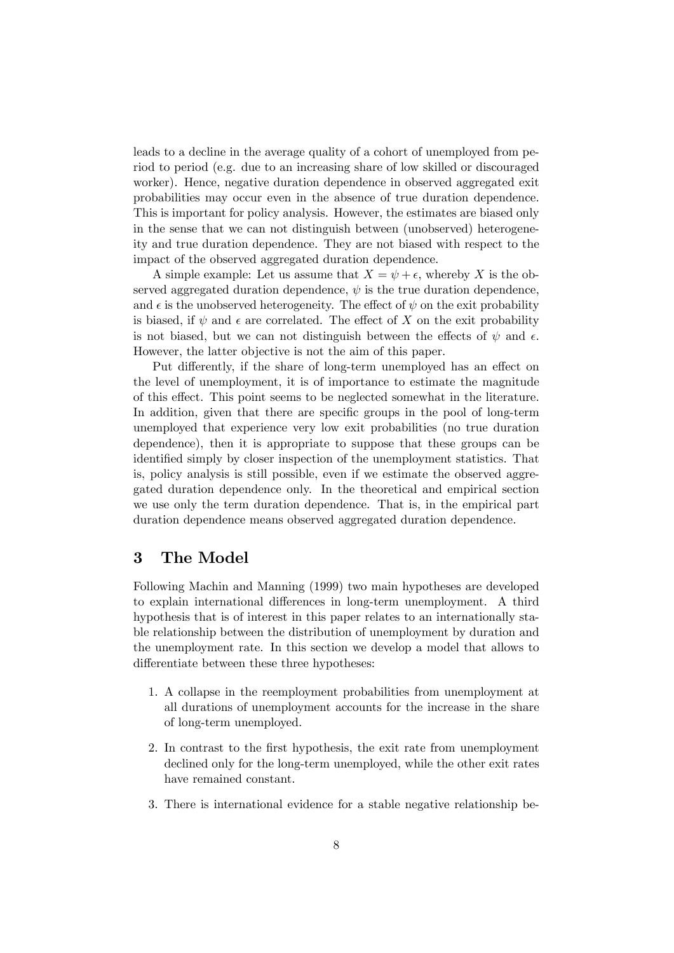leads to a decline in the average quality of a cohort of unemployed from period to period (e.g. due to an increasing share of low skilled or discouraged worker). Hence, negative duration dependence in observed aggregated exit probabilities may occur even in the absence of true duration dependence. This is important for policy analysis. However, the estimates are biased only in the sense that we can not distinguish between (unobserved) heterogeneity and true duration dependence. They are not biased with respect to the impact of the observed aggregated duration dependence.

A simple example: Let us assume that  $X = \psi + \epsilon$ , whereby X is the observed aggregated duration dependence,  $\psi$  is the true duration dependence, and  $\epsilon$  is the unobserved heterogeneity. The effect of  $\psi$  on the exit probability is biased, if  $\psi$  and  $\epsilon$  are correlated. The effect of X on the exit probability is not biased, but we can not distinguish between the effects of  $\psi$  and  $\epsilon$ . However, the latter objective is not the aim of this paper.

Put differently, if the share of long-term unemployed has an effect on the level of unemployment, it is of importance to estimate the magnitude of this effect. This point seems to be neglected somewhat in the literature. In addition, given that there are specific groups in the pool of long-term unemployed that experience very low exit probabilities (no true duration dependence), then it is appropriate to suppose that these groups can be identified simply by closer inspection of the unemployment statistics. That is, policy analysis is still possible, even if we estimate the observed aggregated duration dependence only. In the theoretical and empirical section we use only the term duration dependence. That is, in the empirical part duration dependence means observed aggregated duration dependence.

### 3 The Model

Following Machin and Manning (1999) two main hypotheses are developed to explain international differences in long-term unemployment. A third hypothesis that is of interest in this paper relates to an internationally stable relationship between the distribution of unemployment by duration and the unemployment rate. In this section we develop a model that allows to differentiate between these three hypotheses:

- 1. A collapse in the reemployment probabilities from unemployment at all durations of unemployment accounts for the increase in the share of long-term unemployed.
- 2. In contrast to the first hypothesis, the exit rate from unemployment declined only for the long-term unemployed, while the other exit rates have remained constant.
- 3. There is international evidence for a stable negative relationship be-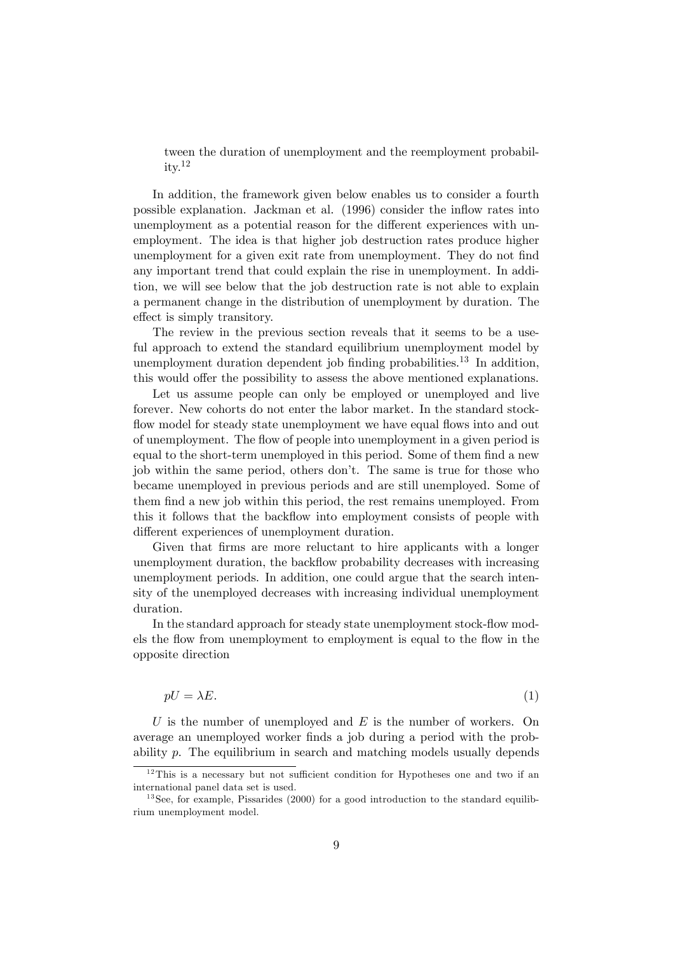tween the duration of unemployment and the reemployment probabil $itv.<sup>12</sup>$ 

In addition, the framework given below enables us to consider a fourth possible explanation. Jackman et al. (1996) consider the inflow rates into unemployment as a potential reason for the different experiences with unemployment. The idea is that higher job destruction rates produce higher unemployment for a given exit rate from unemployment. They do not find any important trend that could explain the rise in unemployment. In addition, we will see below that the job destruction rate is not able to explain a permanent change in the distribution of unemployment by duration. The effect is simply transitory.

The review in the previous section reveals that it seems to be a useful approach to extend the standard equilibrium unemployment model by unemployment duration dependent job finding probabilities.<sup>13</sup> In addition, this would offer the possibility to assess the above mentioned explanations.

Let us assume people can only be employed or unemployed and live forever. New cohorts do not enter the labor market. In the standard stockflow model for steady state unemployment we have equal flows into and out of unemployment. The áow of people into unemployment in a given period is equal to the short-term unemployed in this period. Some of them find a new job within the same period, others don't. The same is true for those who became unemployed in previous periods and are still unemployed. Some of them find a new job within this period, the rest remains unemployed. From this it follows that the backflow into employment consists of people with different experiences of unemployment duration.

Given that firms are more reluctant to hire applicants with a longer unemployment duration, the backflow probability decreases with increasing unemployment periods. In addition, one could argue that the search intensity of the unemployed decreases with increasing individual unemployment duration.

In the standard approach for steady state unemployment stock-flow models the flow from unemployment to employment is equal to the flow in the opposite direction

$$
pU = \lambda E. \tag{1}
$$

U is the number of unemployed and  $E$  is the number of workers. On average an unemployed worker finds a job during a period with the probability p. The equilibrium in search and matching models usually depends

 $12$ This is a necessary but not sufficient condition for Hypotheses one and two if an international panel data set is used.

 $13$  See, for example, Pissarides (2000) for a good introduction to the standard equilibrium unemployment model.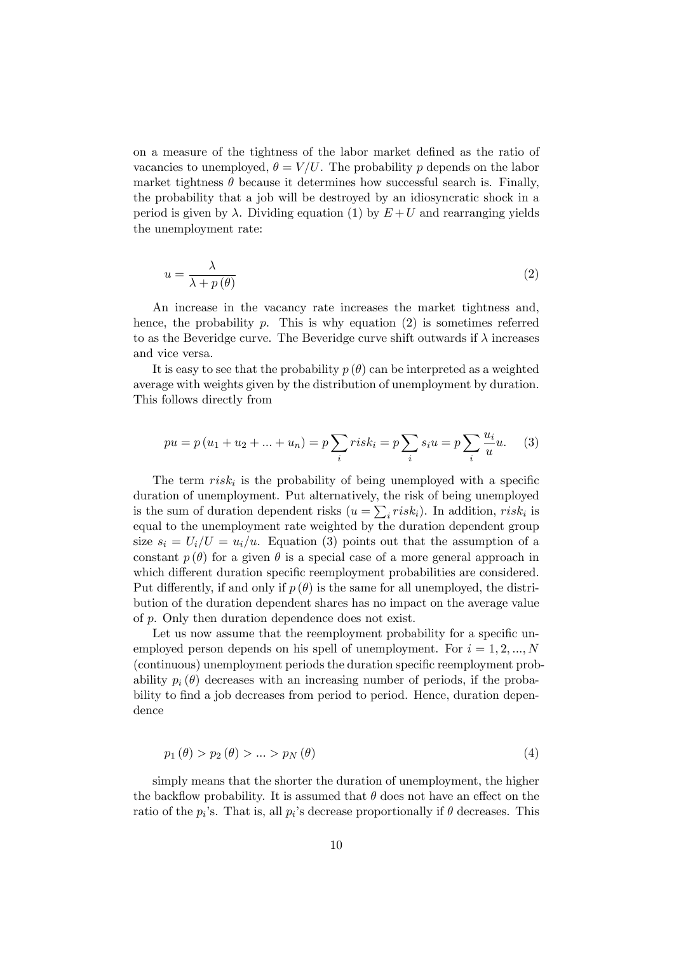on a measure of the tightness of the labor market defined as the ratio of vacancies to unemployed,  $\theta = V/U$ . The probability p depends on the labor market tightness  $\theta$  because it determines how successful search is. Finally, the probability that a job will be destroyed by an idiosyncratic shock in a period is given by  $\lambda$ . Dividing equation (1) by  $E+U$  and rearranging yields the unemployment rate:

$$
u = \frac{\lambda}{\lambda + p(\theta)}\tag{2}
$$

An increase in the vacancy rate increases the market tightness and, hence, the probability  $p$ . This is why equation  $(2)$  is sometimes referred to as the Beveridge curve. The Beveridge curve shift outwards if  $\lambda$  increases and vice versa.

It is easy to see that the probability  $p(\theta)$  can be interpreted as a weighted average with weights given by the distribution of unemployment by duration. This follows directly from

$$
pu = p(u_1 + u_2 + ... + u_n) = p \sum_{i} risk_i = p \sum_{i} s_i u = p \sum_{i} \frac{u_i}{u} u.
$$
 (3)

The term  $risk_i$  is the probability of being unemployed with a specific duration of unemployment. Put alternatively, the risk of being unemployed is the sum of duration dependent risks  $(u = \sum_i risk_i)$ . In addition,  $risk_i$  is equal to the unemployment rate weighted by the duration dependent group size  $s_i = U_i/U = u_i/u$ . Equation (3) points out that the assumption of a constant  $p(\theta)$  for a given  $\theta$  is a special case of a more general approach in which different duration specific reemployment probabilities are considered. Put differently, if and only if  $p(\theta)$  is the same for all unemployed, the distribution of the duration dependent shares has no impact on the average value of p. Only then duration dependence does not exist.

Let us now assume that the reemployment probability for a specific unemployed person depends on his spell of unemployment. For  $i = 1, 2, ..., N$ (continuous) unemployment periods the duration specific reemployment probability  $p_i(\theta)$  decreases with an increasing number of periods, if the probability to find a job decreases from period to period. Hence, duration dependence

$$
p_1(\theta) > p_2(\theta) > \dots > p_N(\theta)
$$
\n<sup>(4)</sup>

simply means that the shorter the duration of unemployment, the higher the backflow probability. It is assumed that  $\theta$  does not have an effect on the ratio of the  $p_i$ 's. That is, all  $p_i$ 's decrease proportionally if  $\theta$  decreases. This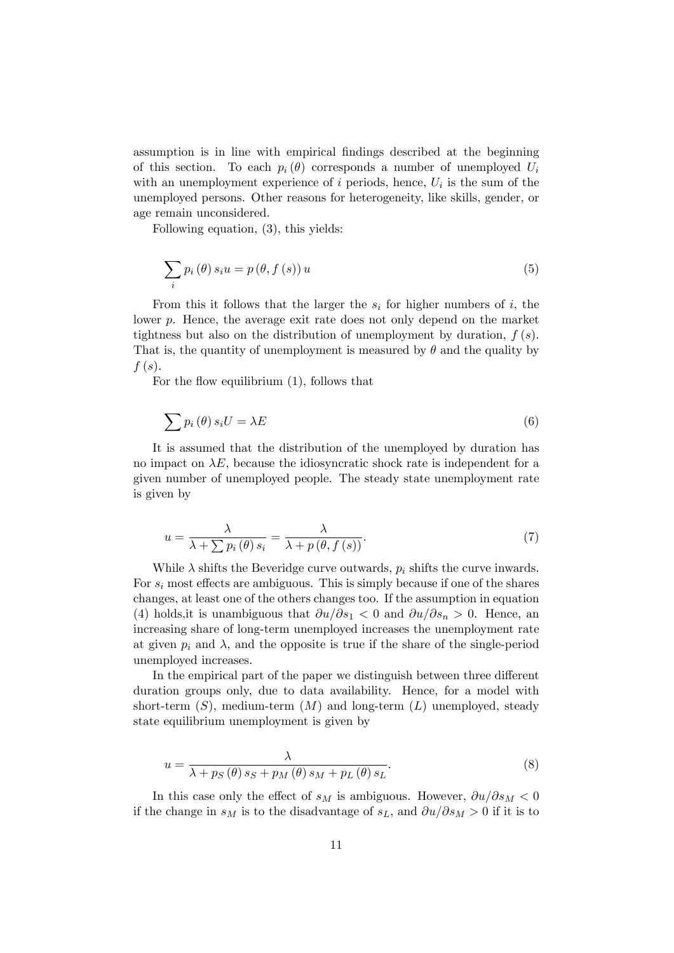assumption is in line with empirical Öndings described at the beginning of this section. To each  $p_i(\theta)$  corresponds a number of unemployed  $U_i$ with an unemployment experience of  $i$  periods, hence,  $U_i$  is the sum of the unemployed persons. Other reasons for heterogeneity, like skills, gender, or age remain unconsidered.

Following equation, (3), this yields:

$$
\sum_{i} p_{i}(\theta) s_{i} u = p(\theta, f(s)) u \tag{5}
$$

From this it follows that the larger the  $s_i$  for higher numbers of i, the lower p. Hence, the average exit rate does not only depend on the market tightness but also on the distribution of unemployment by duration,  $f(s)$ . That is, the quantity of unemployment is measured by  $\theta$  and the quality by  $f(s)$ .

For the flow equilibrium  $(1)$ , follows that

$$
\sum p_i(\theta) s_i U = \lambda E \tag{6}
$$

It is assumed that the distribution of the unemployed by duration has no impact on  $\lambda E$ , because the idiosyncratic shock rate is independent for a given number of unemployed people. The steady state unemployment rate is given by

$$
u = \frac{\lambda}{\lambda + \sum p_i(\theta) s_i} = \frac{\lambda}{\lambda + p(\theta, f(s))}.
$$
\n(7)

While  $\lambda$  shifts the Beveridge curve outwards,  $p_i$  shifts the curve inwards. For  $s_i$  most effects are ambiguous. This is simply because if one of the shares changes, at least one of the others changes too. If the assumption in equation (4) holds, it is unambiguous that  $\partial u/\partial s_1 < 0$  and  $\partial u/\partial s_n > 0$ . Hence, an increasing share of long-term unemployed increases the unemployment rate at given  $p_i$  and  $\lambda$ , and the opposite is true if the share of the single-period unemployed increases.

In the empirical part of the paper we distinguish between three different duration groups only, due to data availability. Hence, for a model with short-term  $(S)$ , medium-term  $(M)$  and long-term  $(L)$  unemployed, steady state equilibrium unemployment is given by

$$
u = \frac{\lambda}{\lambda + ps(\theta) \, s_S + p_M(\theta) \, s_M + p_L(\theta) \, s_L}.\tag{8}
$$

In this case only the effect of  $s_M$  is ambiguous. However,  $\partial u/\partial s_M < 0$ if the change in  $s_M$  is to the disadvantage of  $s_L$ , and  $\partial u/\partial s_M > 0$  if it is to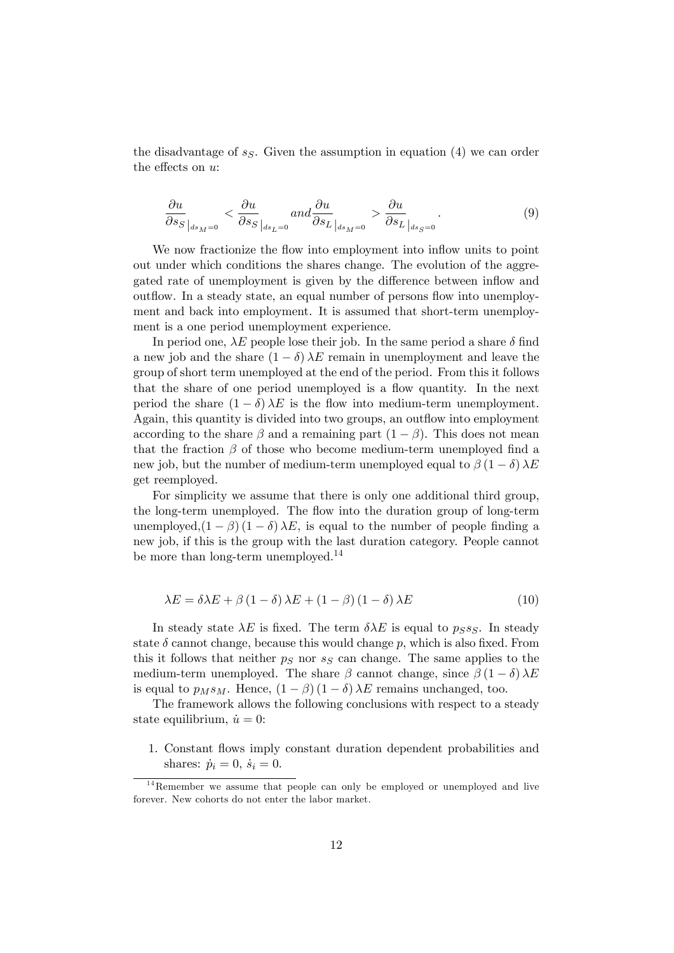the disadvantage of  $s<sub>S</sub>$ . Given the assumption in equation (4) we can order the effects on  $u$ :

$$
\frac{\partial u}{\partial s_S}\Big|_{ds_M=0} < \frac{\partial u}{\partial s_S}\Big|_{ds_L=0} \quad \text{and} \quad \frac{\partial u}{\partial s_L}\Big|_{ds_M=0} > \frac{\partial u}{\partial s_L}\Big|_{ds_S=0} \,. \tag{9}
$$

We now fractionize the flow into employment into inflow units to point out under which conditions the shares change. The evolution of the aggregated rate of unemployment is given by the difference between inflow and outflow. In a steady state, an equal number of persons flow into unemployment and back into employment. It is assumed that short-term unemployment is a one period unemployment experience.

In period one,  $\lambda E$  people lose their job. In the same period a share  $\delta$  find a new job and the share  $(1 - \delta) \lambda E$  remain in unemployment and leave the group of short term unemployed at the end of the period. From this it follows that the share of one period unemployed is a flow quantity. In the next period the share  $(1 - \delta) \lambda E$  is the flow into medium-term unemployment. Again, this quantity is divided into two groups, an outflow into employment according to the share  $\beta$  and a remaining part  $(1 - \beta)$ . This does not mean that the fraction  $\beta$  of those who become medium-term unemployed find a new job, but the number of medium-term unemployed equal to  $\beta (1 - \delta) \lambda E$ get reemployed.

For simplicity we assume that there is only one additional third group, the long-term unemployed. The flow into the duration group of long-term unemployed, $(1 - \beta) (1 - \delta) \lambda E$ , is equal to the number of people finding a new job, if this is the group with the last duration category. People cannot be more than long-term unemployed.<sup>14</sup>

$$
\lambda E = \delta \lambda E + \beta (1 - \delta) \lambda E + (1 - \beta) (1 - \delta) \lambda E \tag{10}
$$

In steady state  $\lambda E$  is fixed. The term  $\delta \lambda E$  is equal to  $p_S s_S$ . In steady state  $\delta$  cannot change, because this would change p, which is also fixed. From this it follows that neither  $p<sub>S</sub>$  nor  $s<sub>S</sub>$  can change. The same applies to the medium-term unemployed. The share  $\beta$  cannot change, since  $\beta (1 - \delta) \lambda E$ is equal to  $p_M s_M$ . Hence,  $(1 - \beta) (1 - \delta) \lambda E$  remains unchanged, too.

The framework allows the following conclusions with respect to a steady state equilibrium,  $\dot{u} = 0$ :

1. Constant áows imply constant duration dependent probabilities and shares:  $\dot{p}_i = 0, \dot{s}_i = 0.$ 

 $14$ Remember we assume that people can only be employed or unemployed and live forever. New cohorts do not enter the labor market.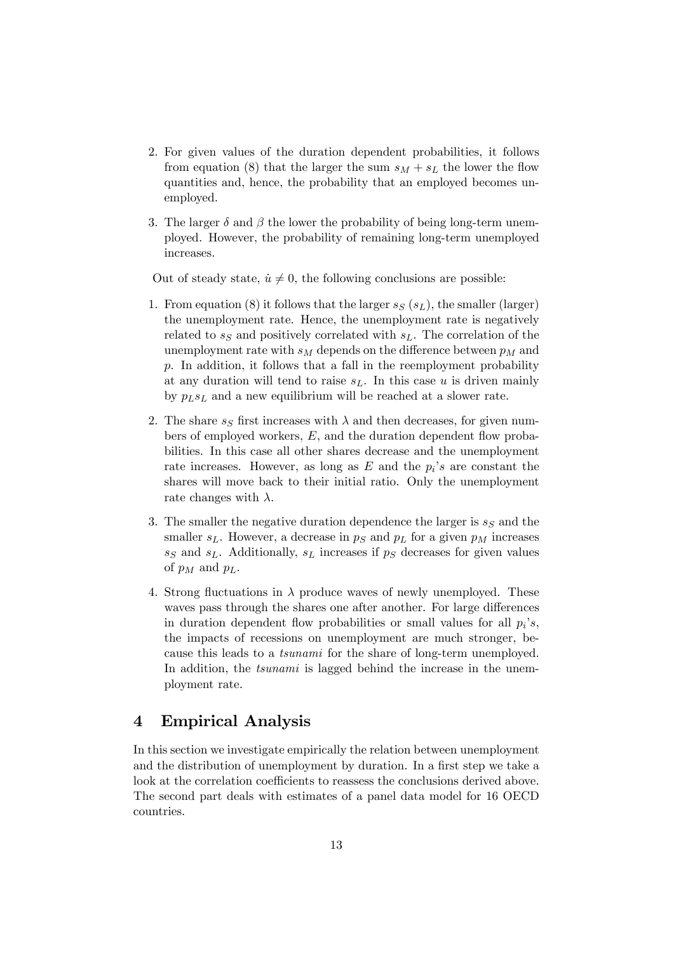- 2. For given values of the duration dependent probabilities, it follows from equation (8) that the larger the sum  $s_M + s_L$  the lower the flow quantities and, hence, the probability that an employed becomes unemployed.
- 3. The larger  $\delta$  and  $\beta$  the lower the probability of being long-term unemployed. However, the probability of remaining long-term unemployed increases.

Out of steady state,  $\dot{u} \neq 0$ , the following conclusions are possible:

- 1. From equation (8) it follows that the larger  $s_S(s_L)$ , the smaller (larger) the unemployment rate. Hence, the unemployment rate is negatively related to  $s_S$  and positively correlated with  $s_L$ . The correlation of the unemployment rate with  $s_M$  depends on the difference between  $p_M$  and p. In addition, it follows that a fall in the reemployment probability at any duration will tend to raise  $s<sub>L</sub>$ . In this case u is driven mainly by  $p_Ls_L$  and a new equilibrium will be reached at a slower rate.
- 2. The share  $s_S$  first increases with  $\lambda$  and then decreases, for given numbers of employed workers,  $E$ , and the duration dependent flow probabilities. In this case all other shares decrease and the unemployment rate increases. However, as long as  $E$  and the  $p_i$ 's are constant the shares will move back to their initial ratio. Only the unemployment rate changes with  $\lambda$ .
- 3. The smaller the negative duration dependence the larger is  $s_S$  and the smaller  $s_L$ . However, a decrease in  $p_S$  and  $p_L$  for a given  $p_M$  increases  $s_S$  and  $s_L$ . Additionally,  $s_L$  increases if  $p_S$  decreases for given values of  $p_M$  and  $p_L$ .
- 4. Strong fluctuations in  $\lambda$  produce waves of newly unemployed. These waves pass through the shares one after another. For large differences in duration dependent flow probabilities or small values for all  $p_i$ 's, the impacts of recessions on unemployment are much stronger, because this leads to a tsunami for the share of long-term unemployed. In addition, the *tsunami* is lagged behind the increase in the unemployment rate.

### 4 Empirical Analysis

In this section we investigate empirically the relation between unemployment and the distribution of unemployment by duration. In a first step we take a look at the correlation coefficients to reassess the conclusions derived above. The second part deals with estimates of a panel data model for 16 OECD countries.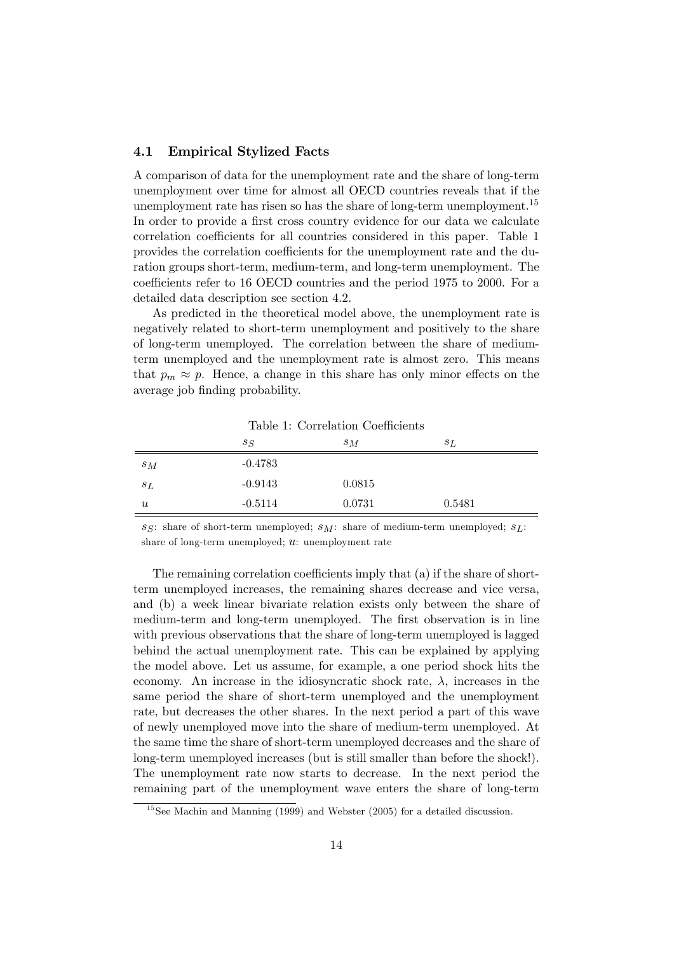#### 4.1 Empirical Stylized Facts

A comparison of data for the unemployment rate and the share of long-term unemployment over time for almost all OECD countries reveals that if the unemployment rate has risen so has the share of long-term unemployment.<sup>15</sup> In order to provide a first cross country evidence for our data we calculate correlation coefficients for all countries considered in this paper. Table 1 provides the correlation coefficients for the unemployment rate and the duration groups short-term, medium-term, and long-term unemployment. The coefficients refer to 16 OECD countries and the period 1975 to 2000. For a detailed data description see section 4.2.

As predicted in the theoretical model above, the unemployment rate is negatively related to short-term unemployment and positively to the share of long-term unemployed. The correlation between the share of mediumterm unemployed and the unemployment rate is almost zero. This means that  $p_m \approx p$ . Hence, a change in this share has only minor effects on the average job finding probability.

|                           | $s_S$     | $s_M$  | $s_L$  |  |
|---------------------------|-----------|--------|--------|--|
| $s_M$                     | $-0.4783$ |        |        |  |
| $s_{L}$                   | $-0.9143$ | 0.0815 |        |  |
| $\boldsymbol{\mathit{u}}$ | $-0.5114$ | 0.0731 | 0.5481 |  |

Table 1: Correlation Coefficients

ss: share of short-term unemployed;  $s_M$ : share of medium-term unemployed;  $s_L$ : share of long-term unemployed;  $u:$  unemployment rate

The remaining correlation coefficients imply that  $(a)$  if the share of shortterm unemployed increases, the remaining shares decrease and vice versa, and (b) a week linear bivariate relation exists only between the share of medium-term and long-term unemployed. The first observation is in line with previous observations that the share of long-term unemployed is lagged behind the actual unemployment rate. This can be explained by applying the model above. Let us assume, for example, a one period shock hits the economy. An increase in the idiosyncratic shock rate,  $\lambda$ , increases in the same period the share of short-term unemployed and the unemployment rate, but decreases the other shares. In the next period a part of this wave of newly unemployed move into the share of medium-term unemployed. At the same time the share of short-term unemployed decreases and the share of long-term unemployed increases (but is still smaller than before the shock!). The unemployment rate now starts to decrease. In the next period the remaining part of the unemployment wave enters the share of long-term

 $15$ See Machin and Manning (1999) and Webster (2005) for a detailed discussion.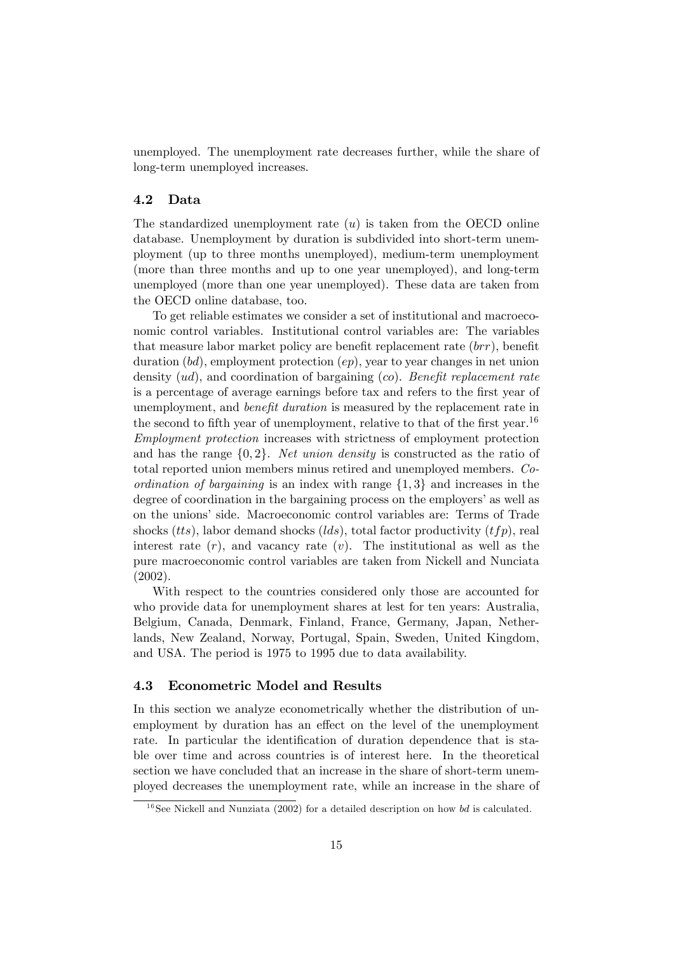unemployed. The unemployment rate decreases further, while the share of long-term unemployed increases.

#### 4.2 Data

The standardized unemployment rate  $(u)$  is taken from the OECD online database. Unemployment by duration is subdivided into short-term unemployment (up to three months unemployed), medium-term unemployment (more than three months and up to one year unemployed), and long-term unemployed (more than one year unemployed). These data are taken from the OECD online database, too.

To get reliable estimates we consider a set of institutional and macroeconomic control variables. Institutional control variables are: The variables that measure labor market policy are benefit replacement rate  $(brr)$ , benefit duration  $(bd)$ , employment protection  $(ep)$ , year to year changes in net union density  $(ud)$ , and coordination of bargaining  $(co)$ . Benefit replacement rate is a percentage of average earnings before tax and refers to the first year of unemployment, and *benefit duration* is measured by the replacement rate in the second to fifth year of unemployment, relative to that of the first year.<sup>16</sup> Employment protection increases with strictness of employment protection and has the range  $\{0, 2\}$ . Net union density is constructed as the ratio of total reported union members minus retired and unemployed members. Coordination of bargaining is an index with range  $\{1,3\}$  and increases in the degree of coordination in the bargaining process on the employers' as well as on the unions' side. Macroeconomic control variables are: Terms of Trade shocks (*tts*), labor demand shocks (*lds*), total factor productivity (*tfp*), real interest rate  $(r)$ , and vacancy rate  $(v)$ . The institutional as well as the pure macroeconomic control variables are taken from Nickell and Nunciata (2002).

With respect to the countries considered only those are accounted for who provide data for unemployment shares at lest for ten years: Australia, Belgium, Canada, Denmark, Finland, France, Germany, Japan, Netherlands, New Zealand, Norway, Portugal, Spain, Sweden, United Kingdom, and USA. The period is 1975 to 1995 due to data availability.

#### 4.3 Econometric Model and Results

In this section we analyze econometrically whether the distribution of unemployment by duration has an effect on the level of the unemployment rate. In particular the identification of duration dependence that is stable over time and across countries is of interest here. In the theoretical section we have concluded that an increase in the share of short-term unemployed decreases the unemployment rate, while an increase in the share of

 $16$ See Nickell and Nunziata (2002) for a detailed description on how bd is calculated.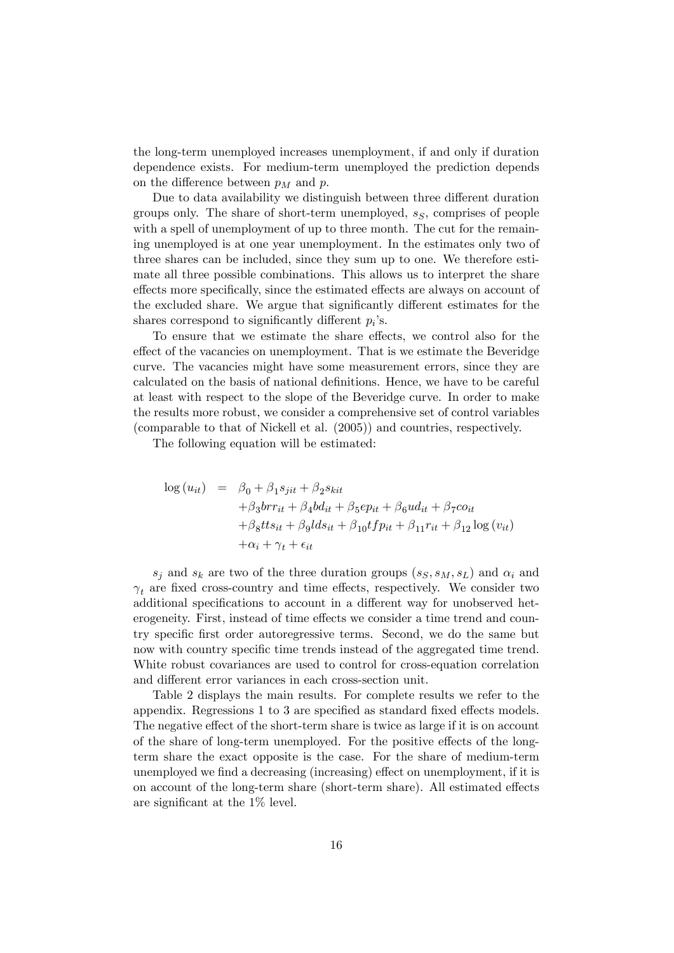the long-term unemployed increases unemployment, if and only if duration dependence exists. For medium-term unemployed the prediction depends on the difference between  $p<sub>M</sub>$  and p.

Due to data availability we distinguish between three different duration groups only. The share of short-term unemployed,  $s_S$ , comprises of people with a spell of unemployment of up to three month. The cut for the remaining unemployed is at one year unemployment. In the estimates only two of three shares can be included, since they sum up to one. We therefore estimate all three possible combinations. This allows us to interpret the share effects more specifically, since the estimated effects are always on account of the excluded share. We argue that significantly different estimates for the shares correspond to significantly different  $p_i$ 's.

To ensure that we estimate the share effects, we control also for the effect of the vacancies on unemployment. That is we estimate the Beveridge curve. The vacancies might have some measurement errors, since they are calculated on the basis of national definitions. Hence, we have to be careful at least with respect to the slope of the Beveridge curve. In order to make the results more robust, we consider a comprehensive set of control variables (comparable to that of Nickell et al. (2005)) and countries, respectively.

The following equation will be estimated:

$$
\log (u_{it}) = \beta_0 + \beta_1 s_{jit} + \beta_2 s_{kit}
$$
  
+  $\beta_3 brr_{it} + \beta_4 b d_{it} + \beta_5 e p_{it} + \beta_6 u d_{it} + \beta_7 c o_{it}$   
+  $\beta_8 t t s_{it} + \beta_9 l d s_{it} + \beta_{10} t f p_{it} + \beta_{11} r_{it} + \beta_{12} \log (v_{it})$   
+  $\alpha_i + \gamma_t + \epsilon_{it}$ 

 $s_j$  and  $s_k$  are two of the three duration groups  $(s_S, s_M, s_L)$  and  $\alpha_i$  and  $\gamma_t$  are fixed cross-country and time effects, respectively. We consider two additional specifications to account in a different way for unobserved heterogeneity. First, instead of time effects we consider a time trend and country specific first order autoregressive terms. Second, we do the same but now with country specific time trends instead of the aggregated time trend. White robust covariances are used to control for cross-equation correlation and different error variances in each cross-section unit.

Table 2 displays the main results. For complete results we refer to the appendix. Regressions  $1$  to  $3$  are specified as standard fixed effects models. The negative effect of the short-term share is twice as large if it is on account of the share of long-term unemployed. For the positive effects of the longterm share the exact opposite is the case. For the share of medium-term unemployed we find a decreasing (increasing) effect on unemployment, if it is on account of the long-term share (short-term share). All estimated effects are significant at the  $1\%$  level.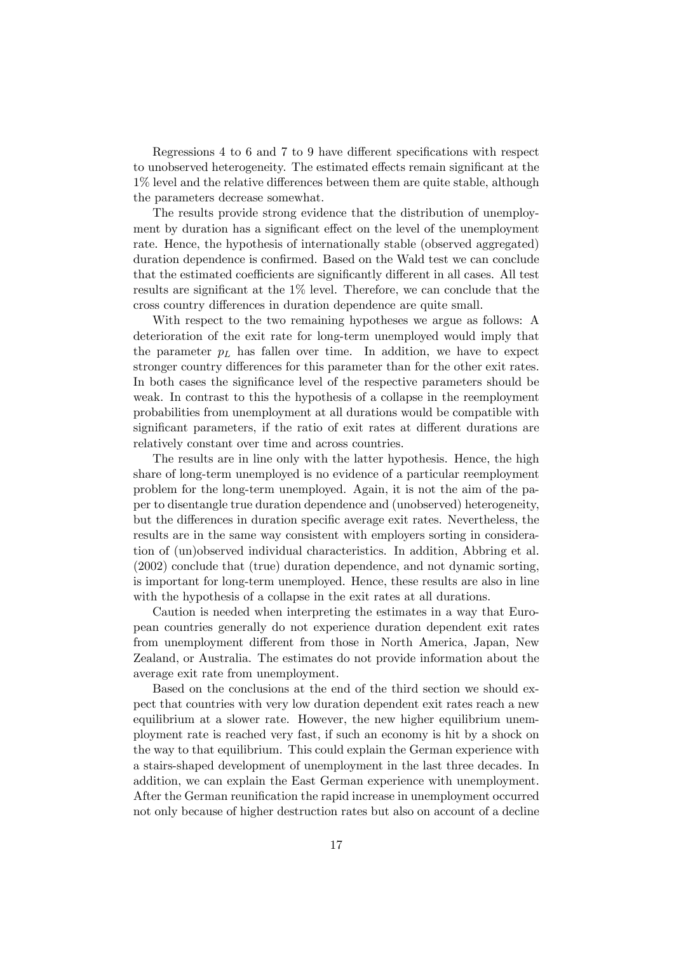Regressions 4 to 6 and 7 to 9 have different specifications with respect to unobserved heterogeneity. The estimated effects remain significant at the  $1\%$  level and the relative differences between them are quite stable, although the parameters decrease somewhat.

The results provide strong evidence that the distribution of unemployment by duration has a significant effect on the level of the unemployment rate. Hence, the hypothesis of internationally stable (observed aggregated) duration dependence is confirmed. Based on the Wald test we can conclude that the estimated coefficients are significantly different in all cases. All test results are significant at the  $1\%$  level. Therefore, we can conclude that the cross country differences in duration dependence are quite small.

With respect to the two remaining hypotheses we argue as follows: A deterioration of the exit rate for long-term unemployed would imply that the parameter  $p<sub>L</sub>$  has fallen over time. In addition, we have to expect stronger country differences for this parameter than for the other exit rates. In both cases the significance level of the respective parameters should be weak. In contrast to this the hypothesis of a collapse in the reemployment probabilities from unemployment at all durations would be compatible with significant parameters, if the ratio of exit rates at different durations are relatively constant over time and across countries.

The results are in line only with the latter hypothesis. Hence, the high share of long-term unemployed is no evidence of a particular reemployment problem for the long-term unemployed. Again, it is not the aim of the paper to disentangle true duration dependence and (unobserved) heterogeneity, but the differences in duration specific average exit rates. Nevertheless, the results are in the same way consistent with employers sorting in consideration of (un)observed individual characteristics. In addition, Abbring et al. (2002) conclude that (true) duration dependence, and not dynamic sorting, is important for long-term unemployed. Hence, these results are also in line with the hypothesis of a collapse in the exit rates at all durations.

Caution is needed when interpreting the estimates in a way that European countries generally do not experience duration dependent exit rates from unemployment different from those in North America, Japan, New Zealand, or Australia. The estimates do not provide information about the average exit rate from unemployment.

Based on the conclusions at the end of the third section we should expect that countries with very low duration dependent exit rates reach a new equilibrium at a slower rate. However, the new higher equilibrium unemployment rate is reached very fast, if such an economy is hit by a shock on the way to that equilibrium. This could explain the German experience with a stairs-shaped development of unemployment in the last three decades. In addition, we can explain the East German experience with unemployment. After the German reunification the rapid increase in unemployment occurred not only because of higher destruction rates but also on account of a decline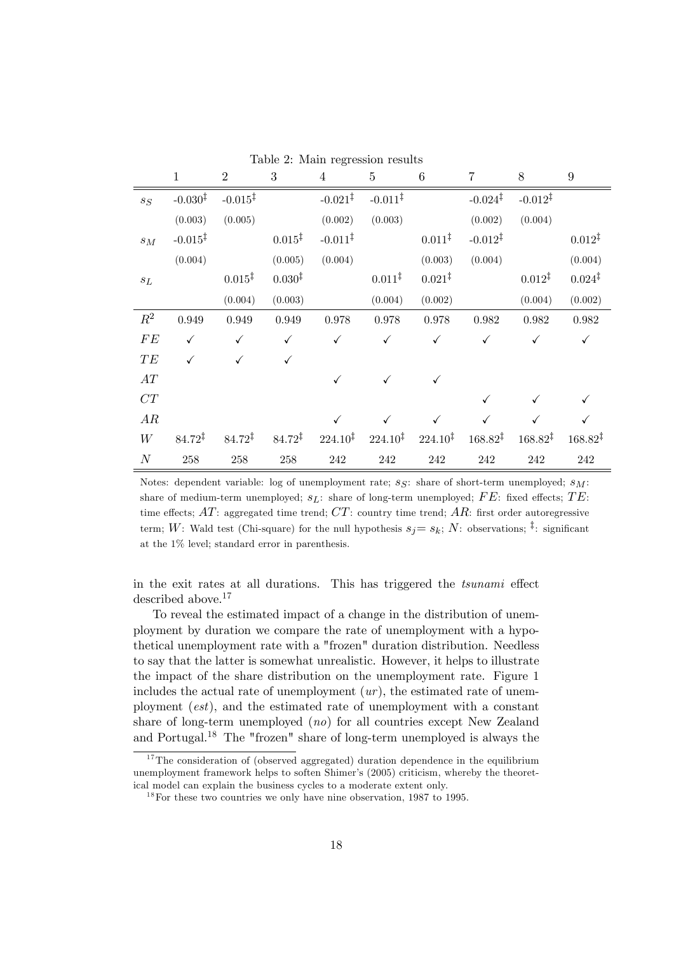|                    | $\mathbf{1}$        | $\overline{2}$      | 3                  | $\overline{4}$      | $\overline{5}$      | $6\phantom{.}6$     | $\overline{7}$      | 8                   | $9\phantom{.0}$     |
|--------------------|---------------------|---------------------|--------------------|---------------------|---------------------|---------------------|---------------------|---------------------|---------------------|
| $s_S$              | $-0.030^{\ddagger}$ | $-0.015^{\ddagger}$ |                    | $-0.021^{\ddagger}$ | $-0.011^{\ddagger}$ |                     | $-0.024^{\ddagger}$ | $-0.012^{\ddagger}$ |                     |
|                    | (0.003)             | (0.005)             |                    | (0.002)             | (0.003)             |                     | (0.002)             | (0.004)             |                     |
| $\sqrt{s_M}$       | $-0.015^{\ddagger}$ |                     | $0.015^{\ddagger}$ | $-0.011^{\ddagger}$ |                     | $0.011^{\ddagger}$  | $-0.012^{\ddagger}$ |                     | $0.012^{\ddagger}$  |
|                    | (0.004)             |                     | (0.005)            | (0.004)             |                     | (0.003)             | (0.004)             |                     | (0.004)             |
| $\mathfrak{s}_L$   |                     | $0.015^{\ddagger}$  | $0.030^{\ddagger}$ |                     | $0.011^{\ddagger}$  | $0.021^{\ddagger}$  |                     | $0.012^{\ddagger}$  | $0.024^{\ddagger}$  |
|                    |                     | (0.004)             | (0.003)            |                     | (0.004)             | (0.002)             |                     | (0.004)             | (0.002)             |
| $R^2$              | 0.949               | 0.949               | 0.949              | 0.978               | 0.978               | 0.978               | 0.982               | 0.982               | 0.982               |
| ${\cal F}{\cal E}$ | $\checkmark$        | $\checkmark$        | $\checkmark$       | $\checkmark$        | ✓                   | $\checkmark$        | $\checkmark$        | $\checkmark$        | $\checkmark$        |
| TE                 |                     | ✓                   | $\checkmark$       |                     |                     |                     |                     |                     |                     |
| AT                 |                     |                     |                    |                     |                     |                     |                     |                     |                     |
| CT                 |                     |                     |                    |                     |                     |                     |                     |                     |                     |
| AR                 |                     |                     |                    |                     |                     |                     |                     |                     | ✓                   |
| W                  | $84.72^{\ddagger}$  | $84.72^{\ddagger}$  | $84.72^{\ddagger}$ | $224.10^{\ddagger}$ | $224.10^{\ddagger}$ | $224.10^{\ddagger}$ | $168.82^{\ddagger}$ | $168.82^{\ddagger}$ | $168.82^{\ddagger}$ |
| $\cal N$           | $258\,$             | $258\,$             | $258\,$            | $242\,$             | $242\,$             | $242\,$             | $242\,$             | 242                 | $242\,$             |

Table 2: Main regression results

Notes: dependent variable: log of unemployment rate;  $sg$ : share of short-term unemployed;  $s_M$ : share of medium-term unemployed;  $s_L$ : share of long-term unemployed; FE: fixed effects; TE: time effects;  $AT$ : aggregated time trend;  $CT$ : country time trend;  $AR$ : first order autoregressive term; W: Wald test (Chi-square) for the null hypothesis  $s_j = s_k$ ; N: observations; <sup>‡</sup>: significant at the 1% level; standard error in parenthesis.

in the exit rates at all durations. This has triggered the *tsunami* effect described above.<sup>17</sup>

To reveal the estimated impact of a change in the distribution of unemployment by duration we compare the rate of unemployment with a hypothetical unemployment rate with a "frozen" duration distribution. Needless to say that the latter is somewhat unrealistic. However, it helps to illustrate the impact of the share distribution on the unemployment rate. Figure 1 includes the actual rate of unemployment  $(ur)$ , the estimated rate of unemployment (est), and the estimated rate of unemployment with a constant share of long-term unemployed (no) for all countries except New Zealand and Portugal.<sup>18</sup> The "frozen" share of long-term unemployed is always the

 $17$ The consideration of (observed aggregated) duration dependence in the equilibrium unemployment framework helps to soften Shimer's (2005) criticism, whereby the theoretical model can explain the business cycles to a moderate extent only.

 $18$  For these two countries we only have nine observation, 1987 to 1995.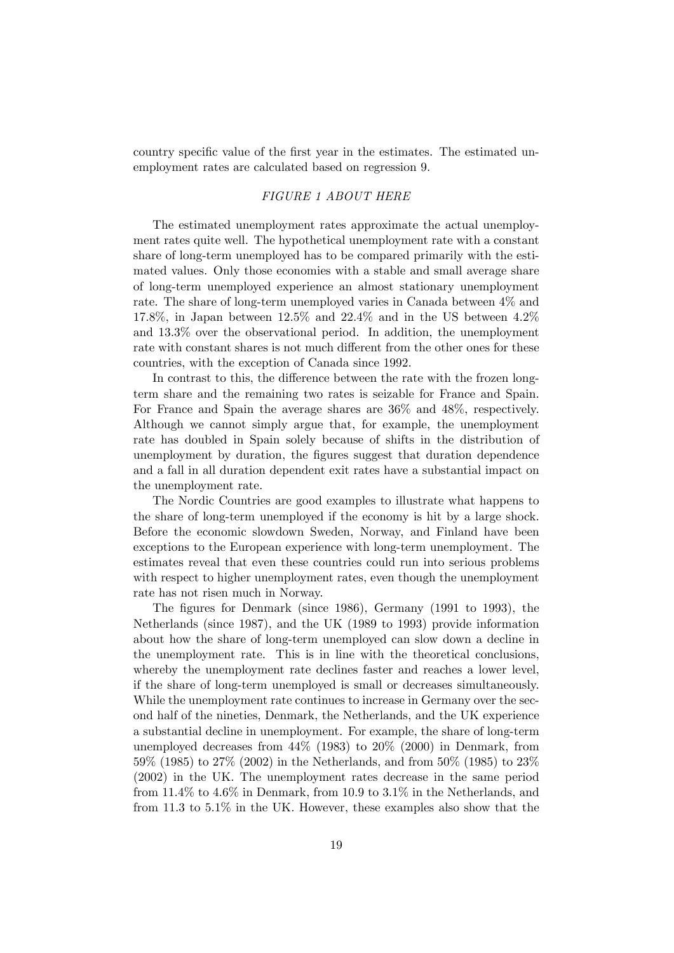country specific value of the first year in the estimates. The estimated unemployment rates are calculated based on regression 9.

#### FIGURE 1 ABOUT HERE

The estimated unemployment rates approximate the actual unemployment rates quite well. The hypothetical unemployment rate with a constant share of long-term unemployed has to be compared primarily with the estimated values. Only those economies with a stable and small average share of long-term unemployed experience an almost stationary unemployment rate. The share of long-term unemployed varies in Canada between 4% and 17.8%, in Japan between  $12.5\%$  and  $22.4\%$  and in the US between  $4.2\%$ and 13.3% over the observational period. In addition, the unemployment rate with constant shares is not much different from the other ones for these countries, with the exception of Canada since 1992.

In contrast to this, the difference between the rate with the frozen longterm share and the remaining two rates is seizable for France and Spain. For France and Spain the average shares are 36% and 48%, respectively. Although we cannot simply argue that, for example, the unemployment rate has doubled in Spain solely because of shifts in the distribution of unemployment by duration, the Ögures suggest that duration dependence and a fall in all duration dependent exit rates have a substantial impact on the unemployment rate.

The Nordic Countries are good examples to illustrate what happens to the share of long-term unemployed if the economy is hit by a large shock. Before the economic slowdown Sweden, Norway, and Finland have been exceptions to the European experience with long-term unemployment. The estimates reveal that even these countries could run into serious problems with respect to higher unemployment rates, even though the unemployment rate has not risen much in Norway.

The figures for Denmark (since 1986), Germany (1991 to 1993), the Netherlands (since 1987), and the UK (1989 to 1993) provide information about how the share of long-term unemployed can slow down a decline in the unemployment rate. This is in line with the theoretical conclusions, whereby the unemployment rate declines faster and reaches a lower level, if the share of long-term unemployed is small or decreases simultaneously. While the unemployment rate continues to increase in Germany over the second half of the nineties, Denmark, the Netherlands, and the UK experience a substantial decline in unemployment. For example, the share of long-term unemployed decreases from 44% (1983) to 20% (2000) in Denmark, from 59% (1985) to 27% (2002) in the Netherlands, and from 50% (1985) to 23% (2002) in the UK. The unemployment rates decrease in the same period from 11.4% to 4.6% in Denmark, from 10.9 to 3.1% in the Netherlands, and from 11.3 to 5.1% in the UK. However, these examples also show that the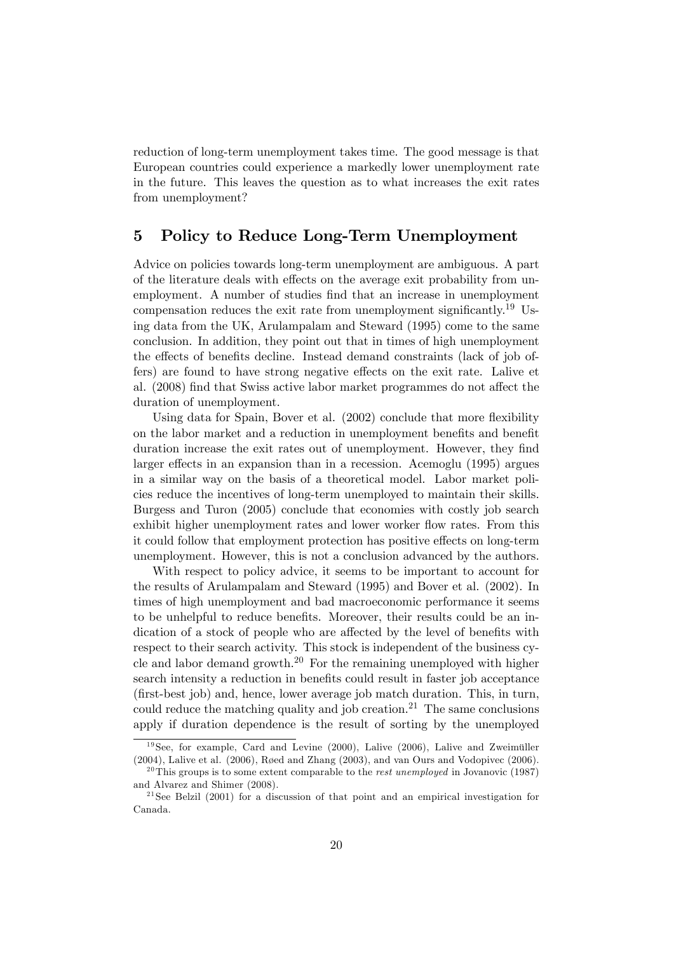reduction of long-term unemployment takes time. The good message is that European countries could experience a markedly lower unemployment rate in the future. This leaves the question as to what increases the exit rates from unemployment?

### 5 Policy to Reduce Long-Term Unemployment

Advice on policies towards long-term unemployment are ambiguous. A part of the literature deals with effects on the average exit probability from unemployment. A number of studies find that an increase in unemployment compensation reduces the exit rate from unemployment significantly.<sup>19</sup> Using data from the UK, Arulampalam and Steward (1995) come to the same conclusion. In addition, they point out that in times of high unemployment the effects of benefits decline. Instead demand constraints (lack of job offers) are found to have strong negative effects on the exit rate. Lalive et al. (2008) find that Swiss active labor market programmes do not affect the duration of unemployment.

Using data for Spain, Bover et al.  $(2002)$  conclude that more flexibility on the labor market and a reduction in unemployment benefits and benefit duration increase the exit rates out of unemployment. However, they find larger effects in an expansion than in a recession. Acemoglu (1995) argues in a similar way on the basis of a theoretical model. Labor market policies reduce the incentives of long-term unemployed to maintain their skills. Burgess and Turon (2005) conclude that economies with costly job search exhibit higher unemployment rates and lower worker flow rates. From this it could follow that employment protection has positive effects on long-term unemployment. However, this is not a conclusion advanced by the authors.

With respect to policy advice, it seems to be important to account for the results of Arulampalam and Steward (1995) and Bover et al. (2002). In times of high unemployment and bad macroeconomic performance it seems to be unhelpful to reduce benefits. Moreover, their results could be an indication of a stock of people who are affected by the level of benefits with respect to their search activity. This stock is independent of the business cycle and labor demand growth.<sup>20</sup> For the remaining unemployed with higher search intensity a reduction in benefits could result in faster job acceptance (Örst-best job) and, hence, lower average job match duration. This, in turn, could reduce the matching quality and job creation.<sup>21</sup> The same conclusions apply if duration dependence is the result of sorting by the unemployed

 $19$  See, for example, Card and Levine (2000), Lalive (2006), Lalive and Zweimüller  $(2004)$ , Lalive et al.  $(2006)$ , Røed and Zhang  $(2003)$ , and van Ours and Vodopivec  $(2006)$ .

<sup>&</sup>lt;sup>20</sup>This groups is to some extent comparable to the *rest unemployed* in Jovanovic (1987) and Alvarez and Shimer (2008).

 $^{21}$ See Belzil (2001) for a discussion of that point and an empirical investigation for Canada.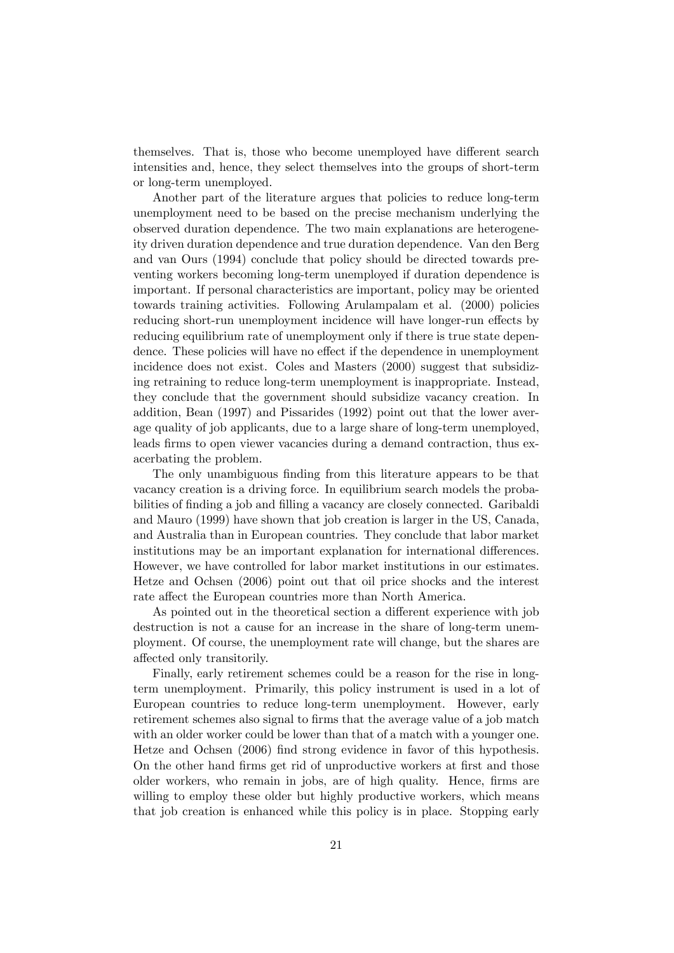themselves. That is, those who become unemployed have different search intensities and, hence, they select themselves into the groups of short-term or long-term unemployed.

Another part of the literature argues that policies to reduce long-term unemployment need to be based on the precise mechanism underlying the observed duration dependence. The two main explanations are heterogeneity driven duration dependence and true duration dependence. Van den Berg and van Ours (1994) conclude that policy should be directed towards preventing workers becoming long-term unemployed if duration dependence is important. If personal characteristics are important, policy may be oriented towards training activities. Following Arulampalam et al. (2000) policies reducing short-run unemployment incidence will have longer-run effects by reducing equilibrium rate of unemployment only if there is true state dependence. These policies will have no effect if the dependence in unemployment incidence does not exist. Coles and Masters (2000) suggest that subsidizing retraining to reduce long-term unemployment is inappropriate. Instead, they conclude that the government should subsidize vacancy creation. In addition, Bean (1997) and Pissarides (1992) point out that the lower average quality of job applicants, due to a large share of long-term unemployed, leads firms to open viewer vacancies during a demand contraction, thus exacerbating the problem.

The only unambiguous finding from this literature appears to be that vacancy creation is a driving force. In equilibrium search models the probabilities of finding a job and filling a vacancy are closely connected. Garibaldi and Mauro (1999) have shown that job creation is larger in the US, Canada, and Australia than in European countries. They conclude that labor market institutions may be an important explanation for international differences. However, we have controlled for labor market institutions in our estimates. Hetze and Ochsen (2006) point out that oil price shocks and the interest rate affect the European countries more than North America.

As pointed out in the theoretical section a different experience with job destruction is not a cause for an increase in the share of long-term unemployment. Of course, the unemployment rate will change, but the shares are affected only transitorily.

Finally, early retirement schemes could be a reason for the rise in longterm unemployment. Primarily, this policy instrument is used in a lot of European countries to reduce long-term unemployment. However, early retirement schemes also signal to firms that the average value of a job match with an older worker could be lower than that of a match with a younger one. Hetze and Ochsen (2006) Önd strong evidence in favor of this hypothesis. On the other hand firms get rid of unproductive workers at first and those older workers, who remain in jobs, are of high quality. Hence, firms are willing to employ these older but highly productive workers, which means that job creation is enhanced while this policy is in place. Stopping early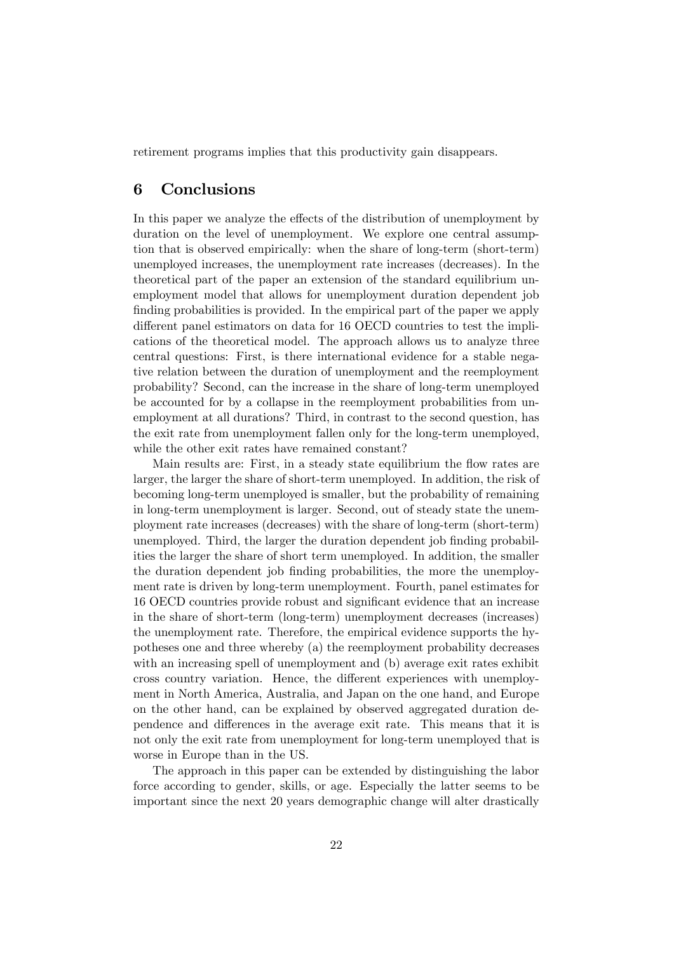retirement programs implies that this productivity gain disappears.

### 6 Conclusions

In this paper we analyze the effects of the distribution of unemployment by duration on the level of unemployment. We explore one central assumption that is observed empirically: when the share of long-term (short-term) unemployed increases, the unemployment rate increases (decreases). In the theoretical part of the paper an extension of the standard equilibrium unemployment model that allows for unemployment duration dependent job finding probabilities is provided. In the empirical part of the paper we apply different panel estimators on data for 16 OECD countries to test the implications of the theoretical model. The approach allows us to analyze three central questions: First, is there international evidence for a stable negative relation between the duration of unemployment and the reemployment probability? Second, can the increase in the share of long-term unemployed be accounted for by a collapse in the reemployment probabilities from unemployment at all durations? Third, in contrast to the second question, has the exit rate from unemployment fallen only for the long-term unemployed, while the other exit rates have remained constant?

Main results are: First, in a steady state equilibrium the flow rates are larger, the larger the share of short-term unemployed. In addition, the risk of becoming long-term unemployed is smaller, but the probability of remaining in long-term unemployment is larger. Second, out of steady state the unemployment rate increases (decreases) with the share of long-term (short-term) unemployed. Third, the larger the duration dependent job finding probabilities the larger the share of short term unemployed. In addition, the smaller the duration dependent job Önding probabilities, the more the unemployment rate is driven by long-term unemployment. Fourth, panel estimates for 16 OECD countries provide robust and significant evidence that an increase in the share of short-term (long-term) unemployment decreases (increases) the unemployment rate. Therefore, the empirical evidence supports the hypotheses one and three whereby (a) the reemployment probability decreases with an increasing spell of unemployment and (b) average exit rates exhibit cross country variation. Hence, the different experiences with unemployment in North America, Australia, and Japan on the one hand, and Europe on the other hand, can be explained by observed aggregated duration dependence and differences in the average exit rate. This means that it is not only the exit rate from unemployment for long-term unemployed that is worse in Europe than in the US.

The approach in this paper can be extended by distinguishing the labor force according to gender, skills, or age. Especially the latter seems to be important since the next 20 years demographic change will alter drastically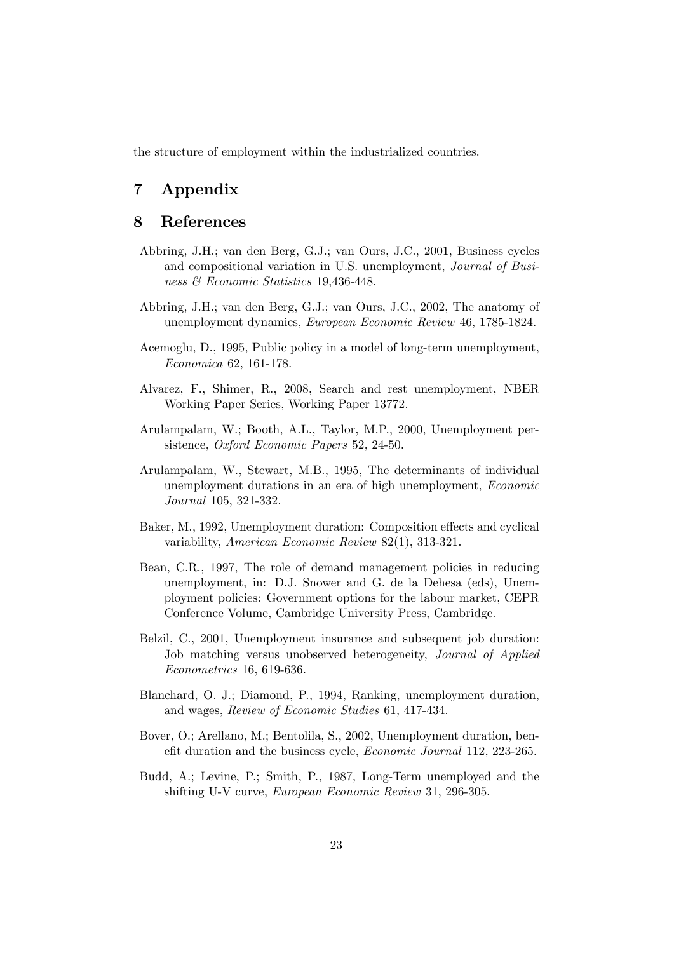the structure of employment within the industrialized countries.

### 7 Appendix

### 8 References

- Abbring, J.H.; van den Berg, G.J.; van Ours, J.C., 2001, Business cycles and compositional variation in U.S. unemployment, Journal of Business & Economic Statistics 19,436-448.
- Abbring, J.H.; van den Berg, G.J.; van Ours, J.C., 2002, The anatomy of unemployment dynamics, European Economic Review 46, 1785-1824.
- Acemoglu, D., 1995, Public policy in a model of long-term unemployment, Economica 62, 161-178.
- Alvarez, F., Shimer, R., 2008, Search and rest unemployment, NBER Working Paper Series, Working Paper 13772.
- Arulampalam, W.; Booth, A.L., Taylor, M.P., 2000, Unemployment persistence, Oxford Economic Papers 52, 24-50.
- Arulampalam, W., Stewart, M.B., 1995, The determinants of individual unemployment durations in an era of high unemployment, Economic Journal 105, 321-332.
- Baker, M., 1992, Unemployment duration: Composition effects and cyclical variability, American Economic Review 82(1), 313-321.
- Bean, C.R., 1997, The role of demand management policies in reducing unemployment, in: D.J. Snower and G. de la Dehesa (eds), Unemployment policies: Government options for the labour market, CEPR Conference Volume, Cambridge University Press, Cambridge.
- Belzil, C., 2001, Unemployment insurance and subsequent job duration: Job matching versus unobserved heterogeneity, Journal of Applied Econometrics 16, 619-636.
- Blanchard, O. J.; Diamond, P., 1994, Ranking, unemployment duration, and wages, Review of Economic Studies 61, 417-434.
- Bover, O.; Arellano, M.; Bentolila, S., 2002, Unemployment duration, benefit duration and the business cycle, Economic Journal 112, 223-265.
- Budd, A.; Levine, P.; Smith, P., 1987, Long-Term unemployed and the shifting U-V curve, European Economic Review 31, 296-305.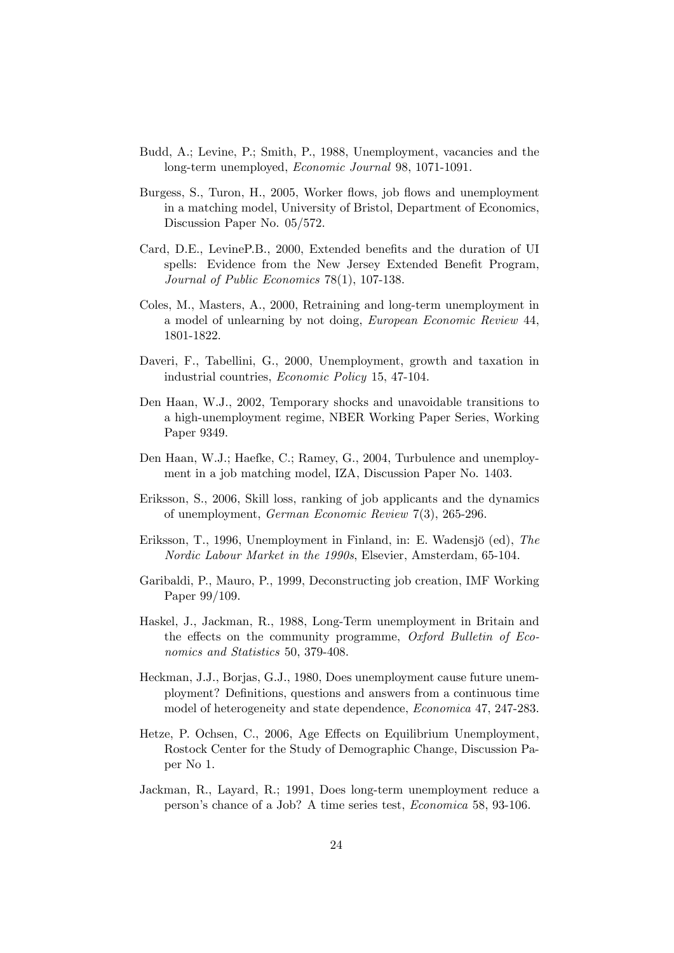- Budd, A.; Levine, P.; Smith, P., 1988, Unemployment, vacancies and the long-term unemployed, Economic Journal 98, 1071-1091.
- Burgess, S., Turon, H., 2005, Worker flows, job flows and unemployment in a matching model, University of Bristol, Department of Economics, Discussion Paper No. 05/572.
- Card, D.E., LevineP.B., 2000, Extended benefits and the duration of UI spells: Evidence from the New Jersey Extended Benefit Program, Journal of Public Economics 78(1), 107-138.
- Coles, M., Masters, A., 2000, Retraining and long-term unemployment in a model of unlearning by not doing, European Economic Review 44, 1801-1822.
- Daveri, F., Tabellini, G., 2000, Unemployment, growth and taxation in industrial countries, Economic Policy 15, 47-104.
- Den Haan, W.J., 2002, Temporary shocks and unavoidable transitions to a high-unemployment regime, NBER Working Paper Series, Working Paper 9349.
- Den Haan, W.J.; Haefke, C.; Ramey, G., 2004, Turbulence and unemployment in a job matching model, IZA, Discussion Paper No. 1403.
- Eriksson, S., 2006, Skill loss, ranking of job applicants and the dynamics of unemployment, German Economic Review 7(3), 265-296.
- Eriksson, T., 1996, Unemployment in Finland, in: E. Wadensjö (ed), The Nordic Labour Market in the 1990s, Elsevier, Amsterdam, 65-104.
- Garibaldi, P., Mauro, P., 1999, Deconstructing job creation, IMF Working Paper 99/109.
- Haskel, J., Jackman, R., 1988, Long-Term unemployment in Britain and the effects on the community programme, Oxford Bulletin of Economics and Statistics 50, 379-408.
- Heckman, J.J., Borjas, G.J., 1980, Does unemployment cause future unemployment? DeÖnitions, questions and answers from a continuous time model of heterogeneity and state dependence, Economica 47, 247-283.
- Hetze, P. Ochsen, C., 2006, Age Effects on Equilibrium Unemployment, Rostock Center for the Study of Demographic Change, Discussion Paper No 1.
- Jackman, R., Layard, R.; 1991, Does long-term unemployment reduce a personís chance of a Job? A time series test, Economica 58, 93-106.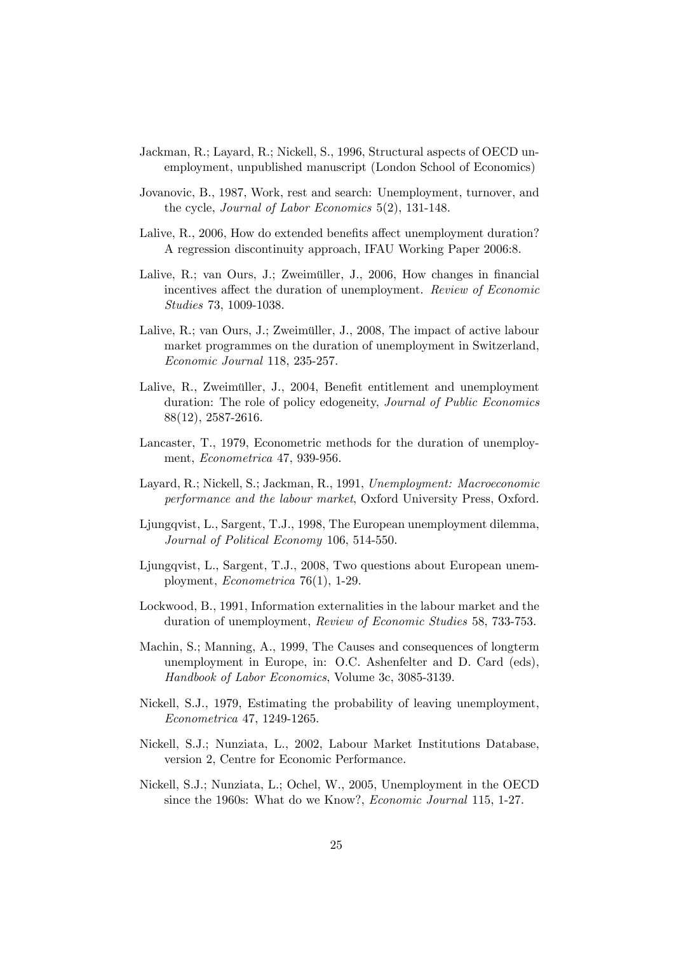- Jackman, R.; Layard, R.; Nickell, S., 1996, Structural aspects of OECD unemployment, unpublished manuscript (London School of Economics)
- Jovanovic, B., 1987, Work, rest and search: Unemployment, turnover, and the cycle, Journal of Labor Economics 5(2), 131-148.
- Lalive,  $R_{\cdot}$ , 2006, How do extended benefits affect unemployment duration? A regression discontinuity approach, IFAU Working Paper 2006:8.
- Lalive, R.; van Ours, J.; Zweimüller, J., 2006, How changes in financial incentives affect the duration of unemployment. Review of Economic Studies 73, 1009-1038.
- Lalive, R.; van Ours, J.; Zweimüller, J., 2008. The impact of active labour market programmes on the duration of unemployment in Switzerland, Economic Journal 118, 235-257.
- Lalive, R., Zweimüller, J., 2004, Benefit entitlement and unemployment duration: The role of policy edogeneity, Journal of Public Economics 88(12), 2587-2616.
- Lancaster, T., 1979, Econometric methods for the duration of unemployment, Econometrica 47, 939-956.
- Layard, R.; Nickell, S.; Jackman, R., 1991, Unemployment: Macroeconomic performance and the labour market, Oxford University Press, Oxford.
- Ljungqvist, L., Sargent, T.J., 1998, The European unemployment dilemma, Journal of Political Economy 106, 514-550.
- Ljungqvist, L., Sargent, T.J., 2008, Two questions about European unemployment, Econometrica 76(1), 1-29.
- Lockwood, B., 1991, Information externalities in the labour market and the duration of unemployment, Review of Economic Studies 58, 733-753.
- Machin, S.; Manning, A., 1999, The Causes and consequences of longterm unemployment in Europe, in: O.C. Ashenfelter and D. Card (eds), Handbook of Labor Economics, Volume 3c, 3085-3139.
- Nickell, S.J., 1979, Estimating the probability of leaving unemployment, Econometrica 47, 1249-1265.
- Nickell, S.J.; Nunziata, L., 2002, Labour Market Institutions Database, version 2, Centre for Economic Performance.
- Nickell, S.J.; Nunziata, L.; Ochel, W., 2005, Unemployment in the OECD since the 1960s: What do we Know?, Economic Journal 115, 1-27.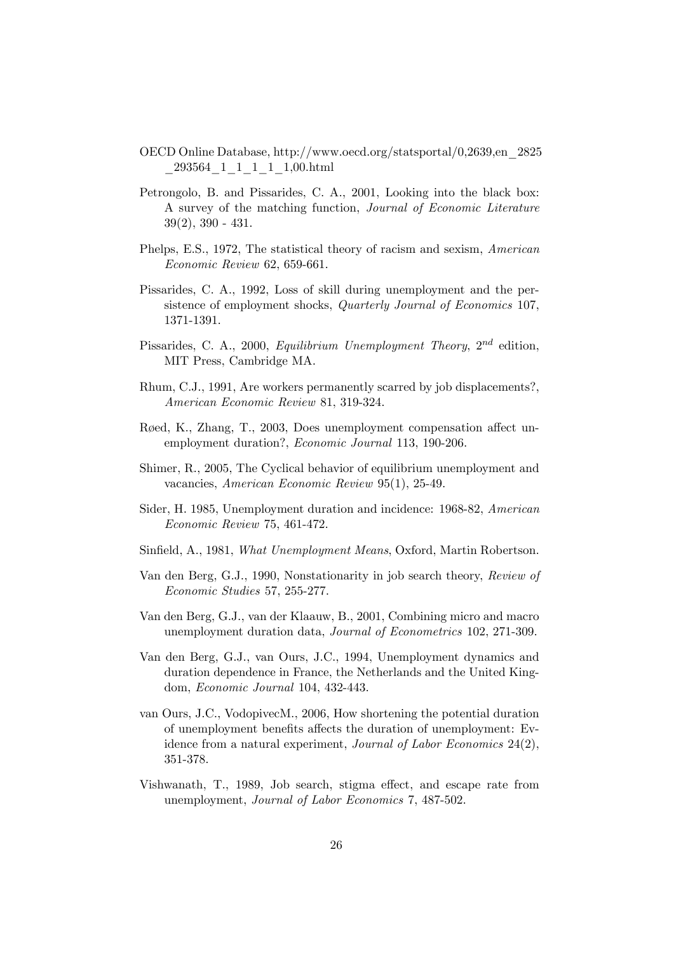- OECD Online Database, http://www.oecd.org/statsportal/0,2639,en\_2825 \_293564\_1\_1\_1\_1\_1,00.html
- Petrongolo, B. and Pissarides, C. A., 2001, Looking into the black box: A survey of the matching function, Journal of Economic Literature 39(2), 390 - 431.
- Phelps, E.S., 1972, The statistical theory of racism and sexism, American Economic Review 62, 659-661.
- Pissarides, C. A., 1992, Loss of skill during unemployment and the persistence of employment shocks, Quarterly Journal of Economics 107, 1371-1391.
- Pissarides, C. A., 2000, Equilibrium Unemployment Theory,  $2^{nd}$  edition, MIT Press, Cambridge MA.
- Rhum, C.J., 1991, Are workers permanently scarred by job displacements?, American Economic Review 81, 319-324.
- Røed, K., Zhang, T., 2003, Does unemployment compensation affect unemployment duration?, Economic Journal 113, 190-206.
- Shimer, R., 2005, The Cyclical behavior of equilibrium unemployment and vacancies, American Economic Review 95(1), 25-49.
- Sider, H. 1985, Unemployment duration and incidence: 1968-82, American Economic Review 75, 461-472.
- Sinfield, A., 1981, What Unemployment Means, Oxford, Martin Robertson.
- Van den Berg, G.J., 1990, Nonstationarity in job search theory, Review of Economic Studies 57, 255-277.
- Van den Berg, G.J., van der Klaauw, B., 2001, Combining micro and macro unemployment duration data, Journal of Econometrics 102, 271-309.
- Van den Berg, G.J., van Ours, J.C., 1994, Unemployment dynamics and duration dependence in France, the Netherlands and the United Kingdom, Economic Journal 104, 432-443.
- van Ours, J.C., VodopivecM., 2006, How shortening the potential duration of unemployment benefits affects the duration of unemployment: Evidence from a natural experiment, Journal of Labor Economics 24(2), 351-378.
- Vishwanath, T., 1989, Job search, stigma effect, and escape rate from unemployment, Journal of Labor Economics 7, 487-502.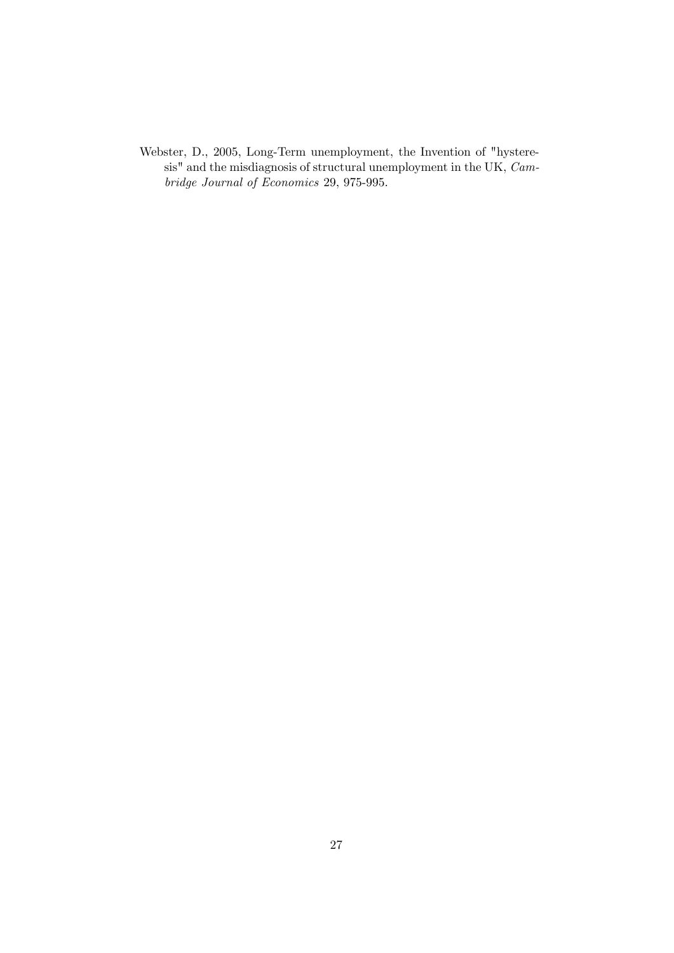Webster, D., 2005, Long-Term unemployment, the Invention of "hysteresis" and the misdiagnosis of structural unemployment in the UK, Cambridge Journal of Economics 29, 975-995.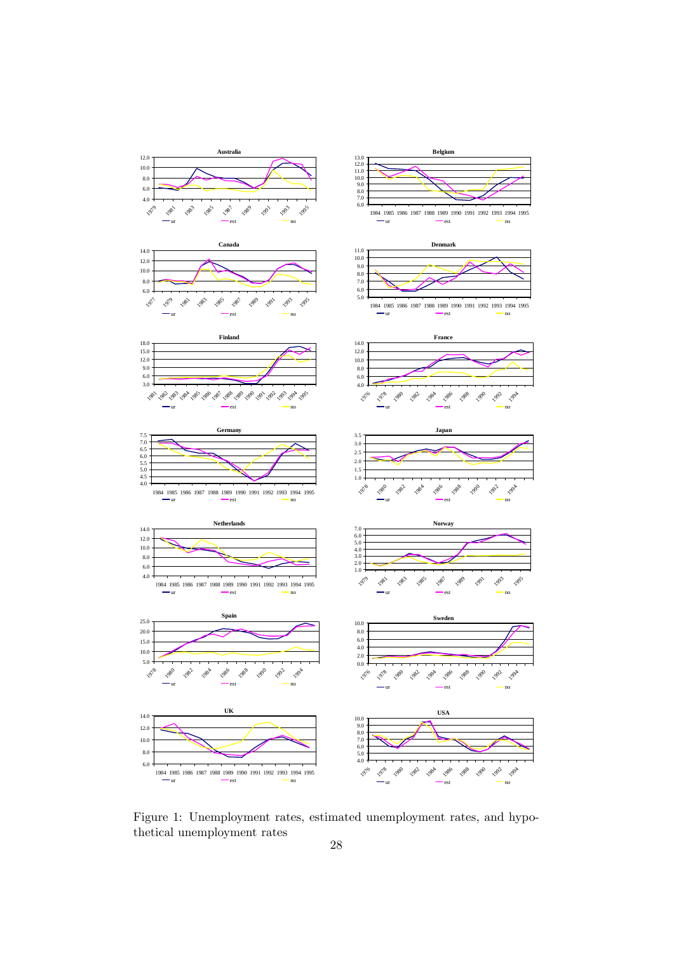

Figure 1: Unemployment rates, estimated unemployment rates, and hypothetical unemployment rates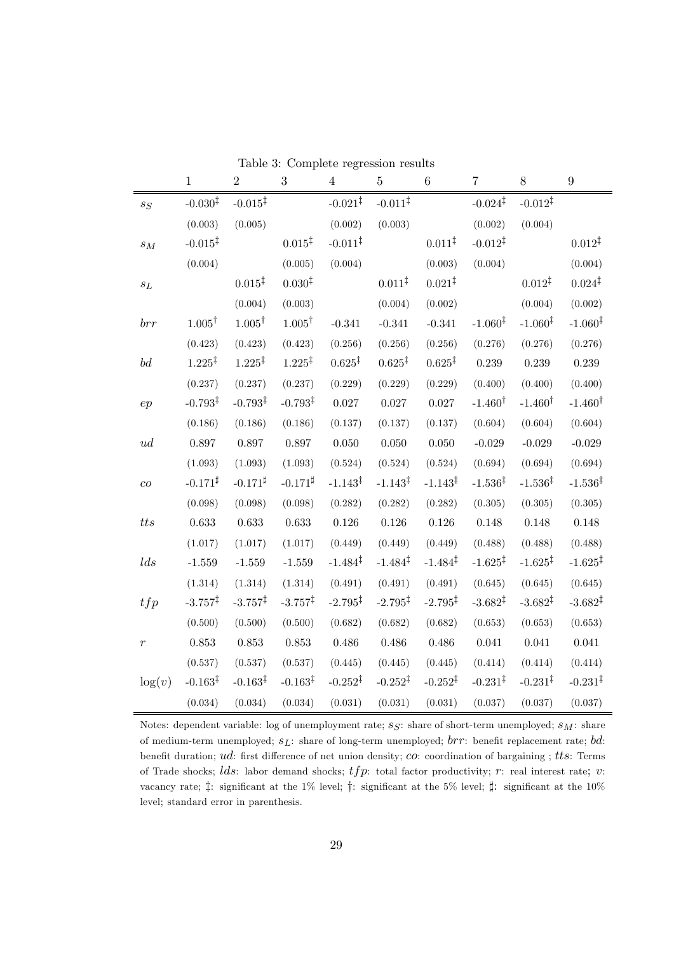|                                | $\mathbf{1}$        | $\overline{2}$      | $\sqrt{3}$          | $\overline{4}$      | $\overline{5}$      | $\,6\,$             | $\overline{7}$      | $8\,$               | $\boldsymbol{9}$    |
|--------------------------------|---------------------|---------------------|---------------------|---------------------|---------------------|---------------------|---------------------|---------------------|---------------------|
| $s_S$                          | $-0.030^{\ddagger}$ | $-0.015^{\ddagger}$ |                     | $-0.021^{\ddagger}$ | $-0.011^{\ddagger}$ |                     | $-0.024^{\ddagger}$ | $-0.012^{\ddagger}$ |                     |
|                                | (0.003)             | (0.005)             |                     | (0.002)             | (0.003)             |                     | (0.002)             | (0.004)             |                     |
| $\sqrt{s_M}$                   | $-0.015^{\ddagger}$ |                     | $0.015^{\ddagger}$  | $-0.011^{\ddagger}$ |                     | $0.011^{\ddagger}$  | $-0.012^{\ddagger}$ |                     | $0.012^{\ddagger}$  |
|                                | (0.004)             |                     | (0.005)             | (0.004)             |                     | (0.003)             | (0.004)             |                     | (0.004)             |
| $\mathfrak{s}_L$               |                     | $0.015^{\ddagger}$  | 0.030 <sup>‡</sup>  |                     | $0.011^{\ddagger}$  | $0.021^{\ddagger}$  |                     | $0.012^{\ddagger}$  | $0.024^{\ddagger}$  |
|                                |                     | (0.004)             | (0.003)             |                     | (0.004)             | (0.002)             |                     | (0.004)             | (0.002)             |
| $_{brr}$                       | $1.005^{\dagger}$   | $1.005^{\dagger}$   | $1.005^{\dagger}$   | $-0.341$            | $-0.341$            | $-0.341$            | $-1.060^{\ddagger}$ | $-1.060^{\ddagger}$ | $-1.060^{\ddagger}$ |
|                                | (0.423)             | (0.423)             | (0.423)             | (0.256)             | (0.256)             | (0.256)             | (0.276)             | (0.276)             | (0.276)             |
| $\boldsymbol{b}\boldsymbol{d}$ | $1.225^{\ddagger}$  | $1.225^{\ddagger}$  | $1.225^{\ddagger}$  | $0.625^{\ddagger}$  | $0.625^{\ddagger}$  | $0.625^{\ddagger}$  | 0.239               | 0.239               | 0.239               |
|                                | (0.237)             | (0.237)             | (0.237)             | (0.229)             | (0.229)             | (0.229)             | (0.400)             | (0.400)             | (0.400)             |
| ep                             | $-0.793^{\ddagger}$ | $-0.793^{\ddagger}$ | $-0.793^{\ddagger}$ | $0.027\,$           | 0.027               | $0.027\,$           | $-1.460^{\dagger}$  | $-1.460^{\dagger}$  | $-1.460^{\dagger}$  |
|                                | (0.186)             | (0.186)             | (0.186)             | (0.137)             | (0.137)             | (0.137)             | (0.604)             | (0.604)             | (0.604)             |
| ud                             | 0.897               | $0.897\,$           | $0.897\,$           | $0.050\,$           | 0.050               | $0.050\,$           | $-0.029$            | $-0.029$            | $-0.029$            |
|                                | (1.093)             | (1.093)             | (1.093)             | (0.524)             | (0.524)             | (0.524)             | (0.694)             | (0.694)             | (0.694)             |
| ${\it co}$                     | $-0.171^{\sharp}$   | $-0.171^{\sharp}$   | $-0.171^{\sharp}$   | $-1.143^{\ddagger}$ | $-1.143^{\ddagger}$ | $-1.143^{\ddagger}$ | $-1.536^{\ddagger}$ | $-1.536^{\ddagger}$ | $-1.536^{\ddagger}$ |
|                                | (0.098)             | (0.098)             | (0.098)             | (0.282)             | (0.282)             | (0.282)             | (0.305)             | (0.305)             | (0.305)             |
| $t\bar{t}s$                    | 0.633               | 0.633               | 0.633               | $0.126\,$           | 0.126               | 0.126               | 0.148               | 0.148               | 0.148               |
|                                | (1.017)             | (1.017)             | (1.017)             | (0.449)             | (0.449)             | (0.449)             | (0.488)             | (0.488)             | (0.488)             |
| lds                            | $-1.559$            | $-1.559$            | $-1.559$            | $-1.484^{\ddagger}$ | $-1.484^{\ddagger}$ | $-1.484^{\ddagger}$ | $-1.625^{\ddagger}$ | $-1.625^{\ddagger}$ | $-1.625^{\ddagger}$ |
|                                | (1.314)             | (1.314)             | (1.314)             | (0.491)             | (0.491)             | (0.491)             | (0.645)             | (0.645)             | (0.645)             |
| tfp                            | $-3.757^{\ddagger}$ | $-3.757^{\ddagger}$ | $-3.757^{\ddagger}$ | $-2.795^{\ddagger}$ | $-2.795^{\ddagger}$ | $-2.795^{\ddagger}$ | $-3.682^{\ddagger}$ | $-3.682^{\ddagger}$ | $-3.682^{\ddagger}$ |
|                                | (0.500)             | (0.500)             | (0.500)             | (0.682)             | (0.682)             | (0.682)             | (0.653)             | (0.653)             | (0.653)             |
| $\boldsymbol{r}$               | 0.853               | $\,0.853\,$         | $0.853\,$           | $0.486\,$           | 0.486               | $0.486\,$           | $\,0.041\,$         | 0.041               | 0.041               |
|                                | (0.537)             | (0.537)             | (0.537)             | (0.445)             | (0.445)             | (0.445)             | (0.414)             | (0.414)             | (0.414)             |
| log(v)                         | $-0.163^{\ddagger}$ | $-0.163^{\ddagger}$ | $-0.163^{\ddagger}$ | $-0.252^{\ddagger}$ | $-0.252^{\ddagger}$ | $-0.252^{\ddagger}$ | $-0.231^{\ddagger}$ | $-0.231^{\ddagger}$ | $-0.231^{\ddagger}$ |
|                                | (0.034)             | (0.034)             | (0.034)             | (0.031)             | (0.031)             | (0.031)             | (0.037)             | (0.037)             | (0.037)             |

Table 3: Complete regression results

Notes: dependent variable: log of unemployment rate;  $s_S$ : share of short-term unemployed;  $s_M$ : share of medium-term unemployed;  $s_L$ : share of long-term unemployed;  $brr$ : benefit replacement rate; bd: benefit duration;  $ud$ : first difference of net union density;  $co$ : coordination of bargaining ;  $tts$ : Terms of Trade shocks; *lds*: labor demand shocks;  $tfp$ : total factor productivity; r: real interest rate; v: vacancy rate;  $\ddagger$ : significant at the 1% level;  $\dagger$ : significant at the 5% level;  $\sharp$ : significant at the 10% level; standard error in parenthesis.